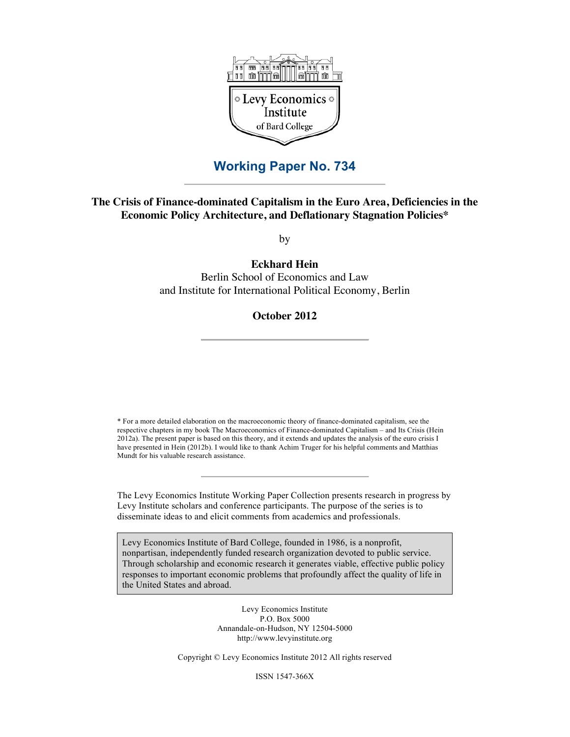

## **Working Paper No. 734**

### **The Crisis of Finance-dominated Capitalism in the Euro Area, Deficiencies in the Economic Policy Architecture, and Deflationary Stagnation Policies\***

by

### **Eckhard Hein**

Berlin School of Economics and Law and Institute for International Political Economy, Berlin

#### **October 2012**

\* For a more detailed elaboration on the macroeconomic theory of finance-dominated capitalism, see the respective chapters in my book The Macroeconomics of Finance-dominated Capitalism – and Its Crisis (Hein 2012a). The present paper is based on this theory, and it extends and updates the analysis of the euro crisis I have presented in Hein (2012b). I would like to thank Achim Truger for his helpful comments and Matthias Mundt for his valuable research assistance.

The Levy Economics Institute Working Paper Collection presents research in progress by Levy Institute scholars and conference participants. The purpose of the series is to disseminate ideas to and elicit comments from academics and professionals.

Levy Economics Institute of Bard College, founded in 1986, is a nonprofit, nonpartisan, independently funded research organization devoted to public service. Through scholarship and economic research it generates viable, effective public policy responses to important economic problems that profoundly affect the quality of life in the United States and abroad.

> Levy Economics Institute P.O. Box 5000 Annandale-on-Hudson, NY 12504-5000 http://www.levyinstitute.org

Copyright © Levy Economics Institute 2012 All rights reserved

ISSN 1547-366X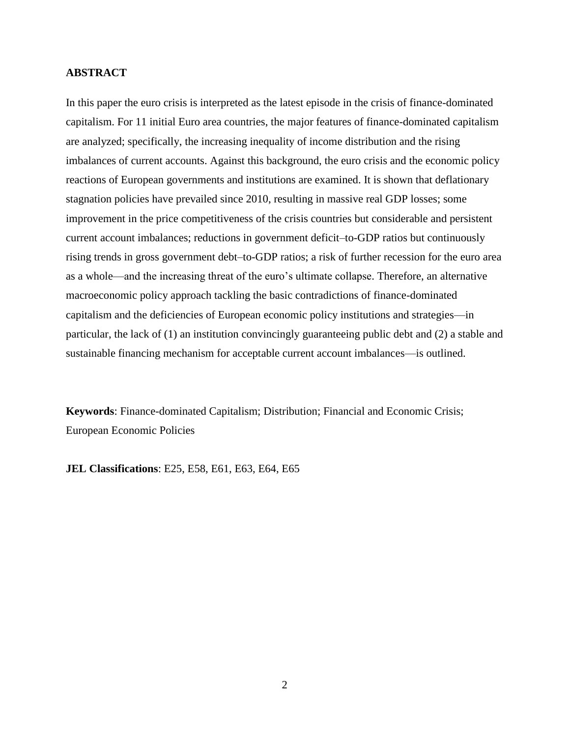### **ABSTRACT**

In this paper the euro crisis is interpreted as the latest episode in the crisis of finance-dominated capitalism. For 11 initial Euro area countries, the major features of finance-dominated capitalism are analyzed; specifically, the increasing inequality of income distribution and the rising imbalances of current accounts. Against this background, the euro crisis and the economic policy reactions of European governments and institutions are examined. It is shown that deflationary stagnation policies have prevailed since 2010, resulting in massive real GDP losses; some improvement in the price competitiveness of the crisis countries but considerable and persistent current account imbalances; reductions in government deficit–to-GDP ratios but continuously rising trends in gross government debt–to-GDP ratios; a risk of further recession for the euro area as a whole—and the increasing threat of the euro's ultimate collapse. Therefore, an alternative macroeconomic policy approach tackling the basic contradictions of finance-dominated capitalism and the deficiencies of European economic policy institutions and strategies—in particular, the lack of (1) an institution convincingly guaranteeing public debt and (2) a stable and sustainable financing mechanism for acceptable current account imbalances—is outlined.

**Keywords**: Finance-dominated Capitalism; Distribution; Financial and Economic Crisis; European Economic Policies

**JEL Classifications**: E25, E58, E61, E63, E64, E65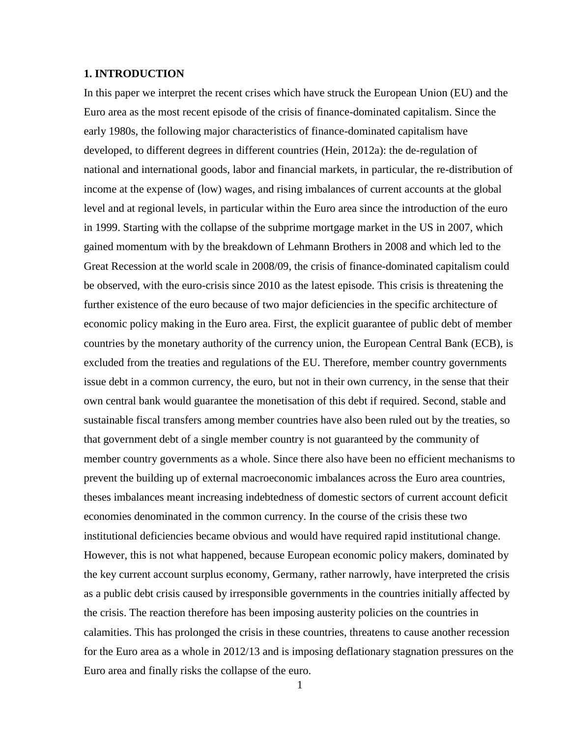#### **1. INTRODUCTION**

In this paper we interpret the recent crises which have struck the European Union (EU) and the Euro area as the most recent episode of the crisis of finance-dominated capitalism. Since the early 1980s, the following major characteristics of finance-dominated capitalism have developed, to different degrees in different countries (Hein, 2012a): the de-regulation of national and international goods, labor and financial markets, in particular, the re-distribution of income at the expense of (low) wages, and rising imbalances of current accounts at the global level and at regional levels, in particular within the Euro area since the introduction of the euro in 1999. Starting with the collapse of the subprime mortgage market in the US in 2007, which gained momentum with by the breakdown of Lehmann Brothers in 2008 and which led to the Great Recession at the world scale in 2008/09, the crisis of finance-dominated capitalism could be observed, with the euro-crisis since 2010 as the latest episode. This crisis is threatening the further existence of the euro because of two major deficiencies in the specific architecture of economic policy making in the Euro area. First, the explicit guarantee of public debt of member countries by the monetary authority of the currency union, the European Central Bank (ECB), is excluded from the treaties and regulations of the EU. Therefore, member country governments issue debt in a common currency, the euro, but not in their own currency, in the sense that their own central bank would guarantee the monetisation of this debt if required. Second, stable and sustainable fiscal transfers among member countries have also been ruled out by the treaties, so that government debt of a single member country is not guaranteed by the community of member country governments as a whole. Since there also have been no efficient mechanisms to prevent the building up of external macroeconomic imbalances across the Euro area countries, theses imbalances meant increasing indebtedness of domestic sectors of current account deficit economies denominated in the common currency. In the course of the crisis these two institutional deficiencies became obvious and would have required rapid institutional change. However, this is not what happened, because European economic policy makers, dominated by the key current account surplus economy, Germany, rather narrowly, have interpreted the crisis as a public debt crisis caused by irresponsible governments in the countries initially affected by the crisis. The reaction therefore has been imposing austerity policies on the countries in calamities. This has prolonged the crisis in these countries, threatens to cause another recession for the Euro area as a whole in 2012/13 and is imposing deflationary stagnation pressures on the Euro area and finally risks the collapse of the euro.

1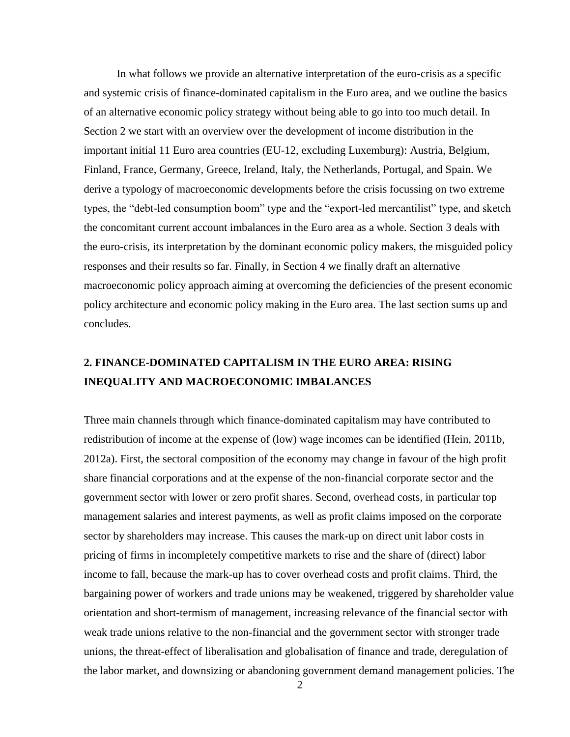In what follows we provide an alternative interpretation of the euro-crisis as a specific and systemic crisis of finance-dominated capitalism in the Euro area, and we outline the basics of an alternative economic policy strategy without being able to go into too much detail. In Section 2 we start with an overview over the development of income distribution in the important initial 11 Euro area countries (EU-12, excluding Luxemburg): Austria, Belgium, Finland, France, Germany, Greece, Ireland, Italy, the Netherlands, Portugal, and Spain. We derive a typology of macroeconomic developments before the crisis focussing on two extreme types, the "debt-led consumption boom" type and the "export-led mercantilist" type, and sketch the concomitant current account imbalances in the Euro area as a whole. Section 3 deals with the euro-crisis, its interpretation by the dominant economic policy makers, the misguided policy responses and their results so far. Finally, in Section 4 we finally draft an alternative macroeconomic policy approach aiming at overcoming the deficiencies of the present economic policy architecture and economic policy making in the Euro area. The last section sums up and concludes.

# **2. FINANCE-DOMINATED CAPITALISM IN THE EURO AREA: RISING INEQUALITY AND MACROECONOMIC IMBALANCES**

Three main channels through which finance-dominated capitalism may have contributed to redistribution of income at the expense of (low) wage incomes can be identified (Hein, 2011b, 2012a). First, the sectoral composition of the economy may change in favour of the high profit share financial corporations and at the expense of the non-financial corporate sector and the government sector with lower or zero profit shares. Second, overhead costs, in particular top management salaries and interest payments, as well as profit claims imposed on the corporate sector by shareholders may increase. This causes the mark-up on direct unit labor costs in pricing of firms in incompletely competitive markets to rise and the share of (direct) labor income to fall, because the mark-up has to cover overhead costs and profit claims. Third, the bargaining power of workers and trade unions may be weakened, triggered by shareholder value orientation and short-termism of management, increasing relevance of the financial sector with weak trade unions relative to the non-financial and the government sector with stronger trade unions, the threat-effect of liberalisation and globalisation of finance and trade, deregulation of the labor market, and downsizing or abandoning government demand management policies. The

2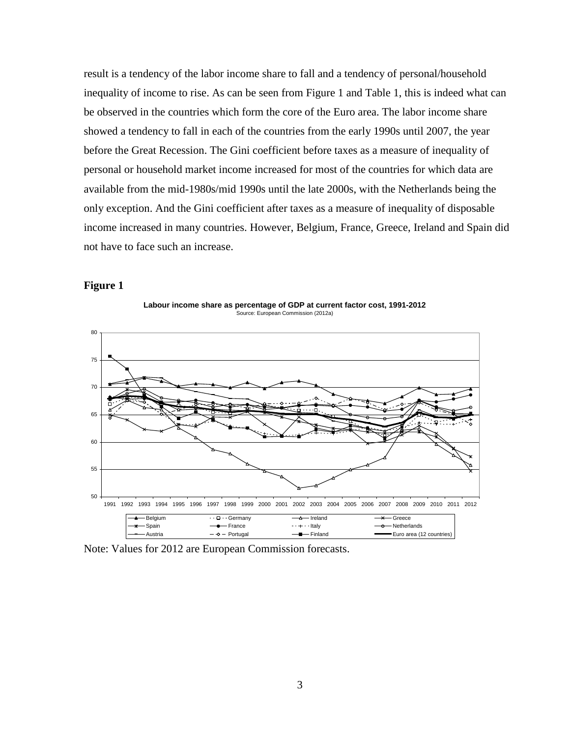result is a tendency of the labor income share to fall and a tendency of personal/household inequality of income to rise. As can be seen from Figure 1 and Table 1, this is indeed what can be observed in the countries which form the core of the Euro area. The labor income share showed a tendency to fall in each of the countries from the early 1990s until 2007, the year before the Great Recession. The Gini coefficient before taxes as a measure of inequality of personal or household market income increased for most of the countries for which data are available from the mid-1980s/mid 1990s until the late 2000s, with the Netherlands being the only exception. And the Gini coefficient after taxes as a measure of inequality of disposable income increased in many countries. However, Belgium, France, Greece, Ireland and Spain did not have to face such an increase.

#### **Figure 1**

**Labour income share as percentage of GDP at current factor cost, 1991-2012** Source: European Commission (2012a)



Note: Values for 2012 are European Commission forecasts.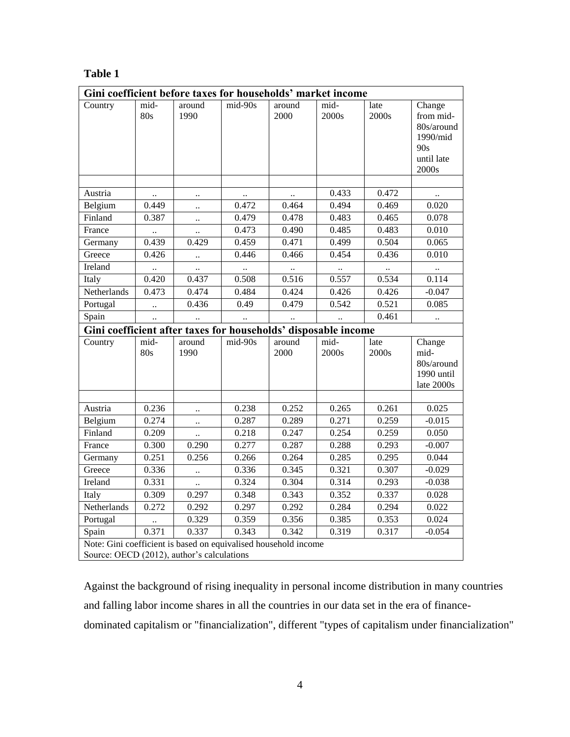## **Table 1**

| Gini coefficient before taxes for households' market income                                                   |                      |                               |                      |                      |               |               |                                                                             |
|---------------------------------------------------------------------------------------------------------------|----------------------|-------------------------------|----------------------|----------------------|---------------|---------------|-----------------------------------------------------------------------------|
| Country                                                                                                       | mid-<br>80s          | around<br>1990                | mid-90s              | around<br>2000       | mid-<br>2000s | late<br>2000s | Change<br>from mid-<br>80s/around<br>1990/mid<br>90s<br>until late<br>2000s |
|                                                                                                               |                      |                               |                      |                      |               |               |                                                                             |
| Austria                                                                                                       | $\ddotsc$            | $\ddot{\phantom{0}}$          | $\ldots$             | $\ddotsc$            | 0.433         | 0.472         | $\ddot{\phantom{0}}$                                                        |
| Belgium                                                                                                       | 0.449                | $\ddot{\phantom{a}}$          | 0.472                | 0.464                | 0.494         | 0.469         | 0.020                                                                       |
| Finland                                                                                                       | 0.387                | $\ddot{\phantom{a}}$          | 0.479                | 0.478                | 0.483         | 0.465         | 0.078                                                                       |
| France                                                                                                        | $\ddot{\phantom{a}}$ | $\ddot{\phantom{a}}$          | 0.473                | 0.490                | 0.485         | 0.483         | 0.010                                                                       |
| Germany                                                                                                       | 0.439                | 0.429                         | 0.459                | 0.471                | 0.499         | 0.504         | 0.065                                                                       |
| Greece                                                                                                        | 0.426                | $\ddotsc$                     | 0.446                | 0.466                | 0.454         | 0.436         | 0.010                                                                       |
| Ireland                                                                                                       | $\ddotsc$            | $\ddotsc$                     | $\ddot{\phantom{0}}$ | $\ddot{\phantom{0}}$ | $\ddotsc$     | $\ddotsc$     |                                                                             |
| Italy                                                                                                         | 0.420                | 0.437                         | 0.508                | 0.516                | 0.557         | 0.534         | 0.114                                                                       |
| Netherlands                                                                                                   | 0.473                | 0.474                         | 0.484                | 0.424                | 0.426         | 0.426         | $-0.047$                                                                    |
| Portugal                                                                                                      | $\ddotsc$            | 0.436                         | 0.49                 | 0.479                | 0.542         | 0.521         | 0.085                                                                       |
| Spain                                                                                                         | $\ddot{\phantom{a}}$ |                               |                      |                      |               | 0.461         |                                                                             |
| Gini coefficient after taxes for households' disposable income                                                |                      |                               |                      |                      |               |               |                                                                             |
| Country                                                                                                       | mid-<br>80s          | around<br>1990                | mid-90s              | around<br>2000       | mid-<br>2000s | late<br>2000s | Change<br>mid-<br>80s/around<br>1990 until<br>late 2000s                    |
| Austria                                                                                                       | 0.236                |                               | 0.238                | 0.252                | 0.265         | 0.261         | 0.025                                                                       |
| Belgium                                                                                                       | 0.274                | $\ddotsc$                     | 0.287                | 0.289                | 0.271         | 0.259         | $-0.015$                                                                    |
| Finland                                                                                                       | 0.209                | $\ddotsc$                     | 0.218                | 0.247                | 0.254         | 0.259         | 0.050                                                                       |
| France                                                                                                        | 0.300                | $\ddot{\phantom{a}}$<br>0.290 | 0.277                | 0.287                | 0.288         | 0.293         | $-0.007$                                                                    |
| Germany                                                                                                       | 0.251                | 0.256                         | 0.266                | 0.264                | 0.285         | 0.295         | 0.044                                                                       |
| Greece                                                                                                        | 0.336                |                               | 0.336                | 0.345                | 0.321         | 0.307         | $-0.029$                                                                    |
| Ireland                                                                                                       | 0.331                | $\ddotsc$                     | 0.324                | 0.304                | 0.314         | 0.293         | $-0.038$                                                                    |
|                                                                                                               | 0.309                | $\ddotsc$<br>0.297            | 0.348                | 0.343                | 0.352         | 0.337         | 0.028                                                                       |
| Italy                                                                                                         |                      |                               |                      |                      |               |               |                                                                             |
| Netherlands                                                                                                   | 0.272                | 0.292                         | 0.297                | 0.292                | 0.284         | 0.294         | 0.022                                                                       |
| Portugal                                                                                                      |                      | 0.329                         | 0.359                | 0.356                | 0.385         | 0.353         | 0.024                                                                       |
| Spain                                                                                                         | 0.371                | 0.337                         | 0.343                | 0.342                | 0.319         | 0.317         | $-0.054$                                                                    |
| Note: Gini coefficient is based on equivalised household income<br>Source: OECD (2012), author's calculations |                      |                               |                      |                      |               |               |                                                                             |

Against the background of rising inequality in personal income distribution in many countries and falling labor income shares in all the countries in our data set in the era of financedominated capitalism or "financialization", different "types of capitalism under financialization"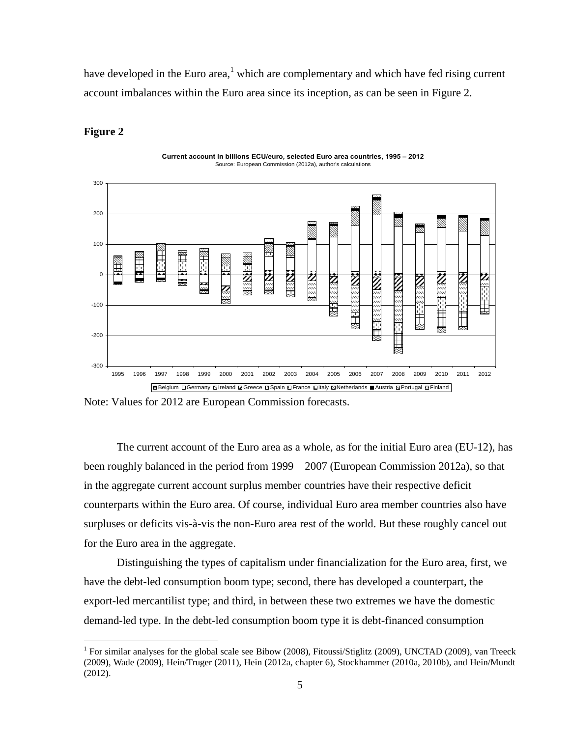have developed in the Euro area,<sup>1</sup> which are complementary and which have fed rising current account imbalances within the Euro area since its inception, as can be seen in Figure 2.



#### **Figure 2**

 $\overline{a}$ 

Source: European Commission (2012a), author's calculations

The current account of the Euro area as a whole, as for the initial Euro area (EU-12), has been roughly balanced in the period from 1999 – 2007 (European Commission 2012a), so that in the aggregate current account surplus member countries have their respective deficit counterparts within the Euro area. Of course, individual Euro area member countries also have surpluses or deficits vis-à-vis the non-Euro area rest of the world. But these roughly cancel out for the Euro area in the aggregate.

Distinguishing the types of capitalism under financialization for the Euro area, first, we have the debt-led consumption boom type; second, there has developed a counterpart, the export-led mercantilist type; and third, in between these two extremes we have the domestic demand-led type. In the debt-led consumption boom type it is debt-financed consumption

Note: Values for 2012 are European Commission forecasts.

<sup>&</sup>lt;sup>1</sup> For similar analyses for the global scale see Bibow (2008), Fitoussi/Stiglitz (2009), UNCTAD (2009), van Treeck (2009), Wade (2009), Hein/Truger (2011), Hein (2012a, chapter 6), Stockhammer (2010a, 2010b), and Hein/Mundt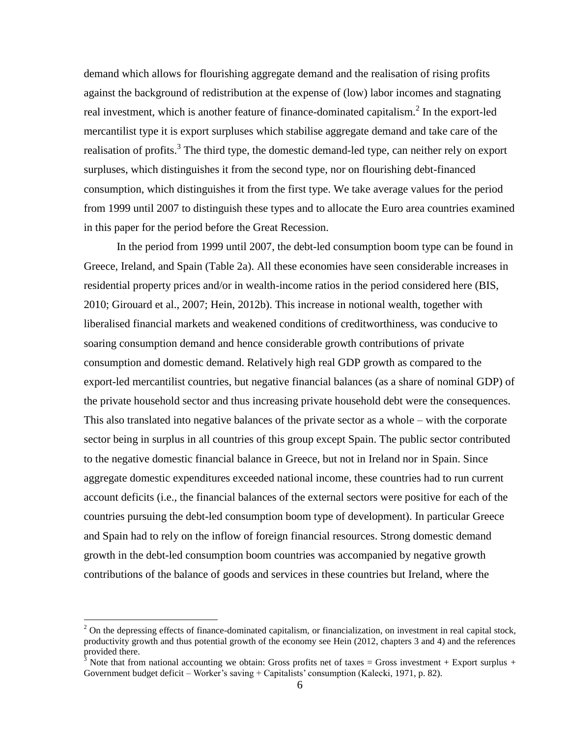demand which allows for flourishing aggregate demand and the realisation of rising profits against the background of redistribution at the expense of (low) labor incomes and stagnating real investment, which is another feature of finance-dominated capitalism.<sup>2</sup> In the export-led mercantilist type it is export surpluses which stabilise aggregate demand and take care of the realisation of profits.<sup>3</sup> The third type, the domestic demand-led type, can neither rely on export surpluses, which distinguishes it from the second type, nor on flourishing debt-financed consumption, which distinguishes it from the first type. We take average values for the period from 1999 until 2007 to distinguish these types and to allocate the Euro area countries examined in this paper for the period before the Great Recession.

In the period from 1999 until 2007, the debt-led consumption boom type can be found in Greece, Ireland, and Spain (Table 2a). All these economies have seen considerable increases in residential property prices and/or in wealth-income ratios in the period considered here (BIS, 2010; Girouard et al., 2007; Hein, 2012b). This increase in notional wealth, together with liberalised financial markets and weakened conditions of creditworthiness, was conducive to soaring consumption demand and hence considerable growth contributions of private consumption and domestic demand. Relatively high real GDP growth as compared to the export-led mercantilist countries, but negative financial balances (as a share of nominal GDP) of the private household sector and thus increasing private household debt were the consequences. This also translated into negative balances of the private sector as a whole – with the corporate sector being in surplus in all countries of this group except Spain. The public sector contributed to the negative domestic financial balance in Greece, but not in Ireland nor in Spain. Since aggregate domestic expenditures exceeded national income, these countries had to run current account deficits (i.e., the financial balances of the external sectors were positive for each of the countries pursuing the debt-led consumption boom type of development). In particular Greece and Spain had to rely on the inflow of foreign financial resources. Strong domestic demand growth in the debt-led consumption boom countries was accompanied by negative growth contributions of the balance of goods and services in these countries but Ireland, where the

 $2$  On the depressing effects of finance-dominated capitalism, or financialization, on investment in real capital stock, productivity growth and thus potential growth of the economy see Hein (2012, chapters 3 and 4) and the references provided there.

Note that from national accounting we obtain: Gross profits net of taxes = Gross investment + Export surplus + Government budget deficit – Worker's saving + Capitalists' consumption (Kalecki, 1971, p. 82).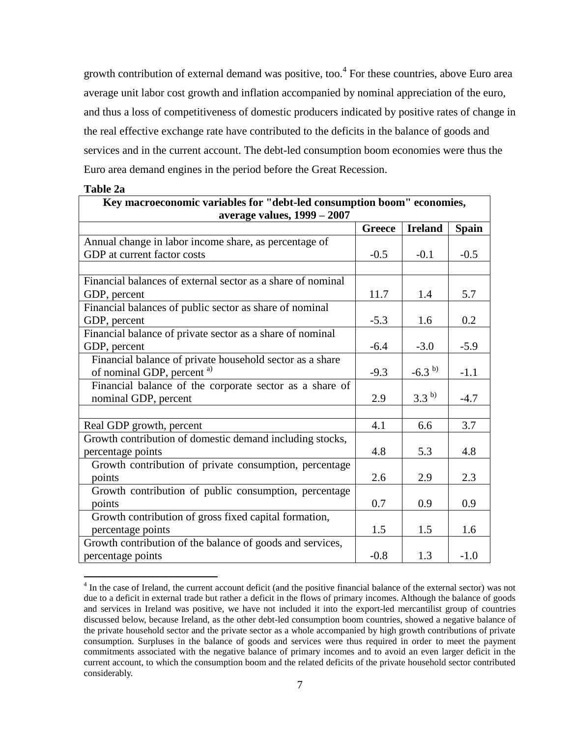growth contribution of external demand was positive, too.<sup>4</sup> For these countries, above Euro area average unit labor cost growth and inflation accompanied by nominal appreciation of the euro, and thus a loss of competitiveness of domestic producers indicated by positive rates of change in the real effective exchange rate have contributed to the deficits in the balance of goods and services and in the current account. The debt-led consumption boom economies were thus the Euro area demand engines in the period before the Great Recession.

| l'able | я |
|--------|---|
|--------|---|

| Key macroeconomic variables for "debt-led consumption boom" economies,<br>average values, 1999 – 2007 |               |                |              |  |  |
|-------------------------------------------------------------------------------------------------------|---------------|----------------|--------------|--|--|
|                                                                                                       | <b>Greece</b> | <b>Ireland</b> | <b>Spain</b> |  |  |
| Annual change in labor income share, as percentage of                                                 |               |                |              |  |  |
| GDP at current factor costs                                                                           | $-0.5$        | $-0.1$         | $-0.5$       |  |  |
|                                                                                                       |               |                |              |  |  |
| Financial balances of external sector as a share of nominal                                           |               |                |              |  |  |
| GDP, percent                                                                                          | 11.7          | 1.4            | 5.7          |  |  |
| Financial balances of public sector as share of nominal                                               |               |                |              |  |  |
| GDP, percent                                                                                          | $-5.3$        | 1.6            | 0.2          |  |  |
| Financial balance of private sector as a share of nominal                                             |               |                |              |  |  |
| GDP, percent                                                                                          | $-6.4$        | $-3.0$         | $-5.9$       |  |  |
| Financial balance of private household sector as a share                                              |               |                |              |  |  |
| of nominal GDP, percent <sup>a)</sup>                                                                 | $-9.3$        | $-6.3^{b)}$    | $-1.1$       |  |  |
| Financial balance of the corporate sector as a share of                                               |               |                |              |  |  |
| nominal GDP, percent                                                                                  | 2.9           | $3.3^{b}$      | $-4.7$       |  |  |
|                                                                                                       |               |                |              |  |  |
| Real GDP growth, percent                                                                              | 4.1           | 6.6            | 3.7          |  |  |
| Growth contribution of domestic demand including stocks,                                              |               |                |              |  |  |
| percentage points                                                                                     | 4.8           | 5.3            | 4.8          |  |  |
| Growth contribution of private consumption, percentage                                                |               |                |              |  |  |
| points                                                                                                | 2.6           | 2.9            | 2.3          |  |  |
| Growth contribution of public consumption, percentage                                                 |               |                |              |  |  |
| points                                                                                                | 0.7           | 0.9            | 0.9          |  |  |
| Growth contribution of gross fixed capital formation,                                                 |               |                |              |  |  |
| percentage points                                                                                     | 1.5           | 1.5            | 1.6          |  |  |
| Growth contribution of the balance of goods and services,                                             |               |                |              |  |  |
| percentage points                                                                                     | $-0.8$        | 1.3            | $-1.0$       |  |  |

<sup>&</sup>lt;sup>4</sup> In the case of Ireland, the current account deficit (and the positive financial balance of the external sector) was not due to a deficit in external trade but rather a deficit in the flows of primary incomes. Although the balance of goods and services in Ireland was positive, we have not included it into the export-led mercantilist group of countries discussed below, because Ireland, as the other debt-led consumption boom countries, showed a negative balance of the private household sector and the private sector as a whole accompanied by high growth contributions of private consumption. Surpluses in the balance of goods and services were thus required in order to meet the payment commitments associated with the negative balance of primary incomes and to avoid an even larger deficit in the current account, to which the consumption boom and the related deficits of the private household sector contributed considerably.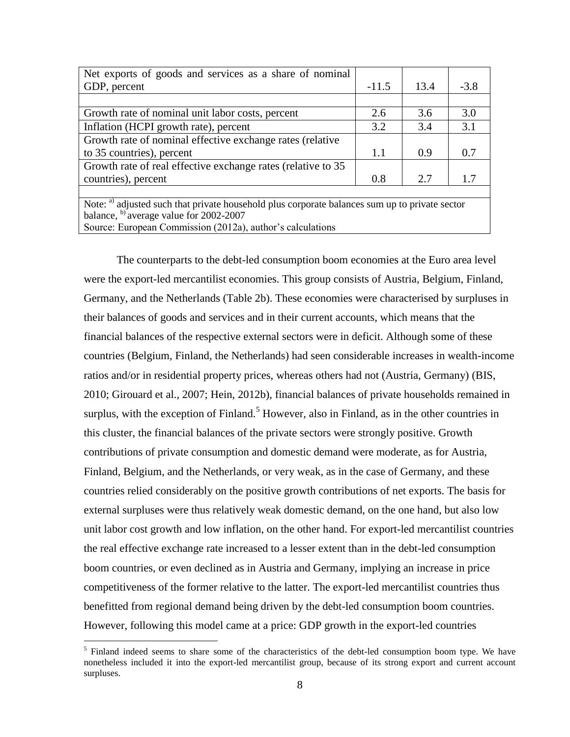| Net exports of goods and services as a share of nominal      |         |      |        |
|--------------------------------------------------------------|---------|------|--------|
| GDP, percent                                                 | $-11.5$ | 13.4 | $-3.8$ |
|                                                              |         |      |        |
| Growth rate of nominal unit labor costs, percent             | 2.6     | 3.6  | 3.0    |
| Inflation (HCPI growth rate), percent                        | 3.2     | 3.4  | 3.1    |
| Growth rate of nominal effective exchange rates (relative    |         |      |        |
| to 35 countries), percent                                    | 1.1     | 0.9  | 0.7    |
| Growth rate of real effective exchange rates (relative to 35 |         |      |        |
| countries), percent                                          | 0.8     | 27   |        |
|                                                              |         |      |        |

Note: <sup>a)</sup> adjusted such that private household plus corporate balances sum up to private sector balance,  $\frac{b}{c}$  average value for 2002-2007 Source: European Commission (2012a), author's calculations

The counterparts to the debt-led consumption boom economies at the Euro area level were the export-led mercantilist economies. This group consists of Austria, Belgium, Finland, Germany, and the Netherlands (Table 2b). These economies were characterised by surpluses in their balances of goods and services and in their current accounts, which means that the financial balances of the respective external sectors were in deficit. Although some of these countries (Belgium, Finland, the Netherlands) had seen considerable increases in wealth-income ratios and/or in residential property prices, whereas others had not (Austria, Germany) (BIS, 2010; Girouard et al., 2007; Hein, 2012b), financial balances of private households remained in surplus, with the exception of Finland.<sup>5</sup> However, also in Finland, as in the other countries in this cluster, the financial balances of the private sectors were strongly positive. Growth contributions of private consumption and domestic demand were moderate, as for Austria, Finland, Belgium, and the Netherlands, or very weak, as in the case of Germany, and these countries relied considerably on the positive growth contributions of net exports. The basis for external surpluses were thus relatively weak domestic demand, on the one hand, but also low unit labor cost growth and low inflation, on the other hand. For export-led mercantilist countries the real effective exchange rate increased to a lesser extent than in the debt-led consumption boom countries, or even declined as in Austria and Germany, implying an increase in price competitiveness of the former relative to the latter. The export-led mercantilist countries thus benefitted from regional demand being driven by the debt-led consumption boom countries. However, following this model came at a price: GDP growth in the export-led countries

<sup>&</sup>lt;sup>5</sup> Finland indeed seems to share some of the characteristics of the debt-led consumption boom type. We have nonetheless included it into the export-led mercantilist group, because of its strong export and current account surpluses.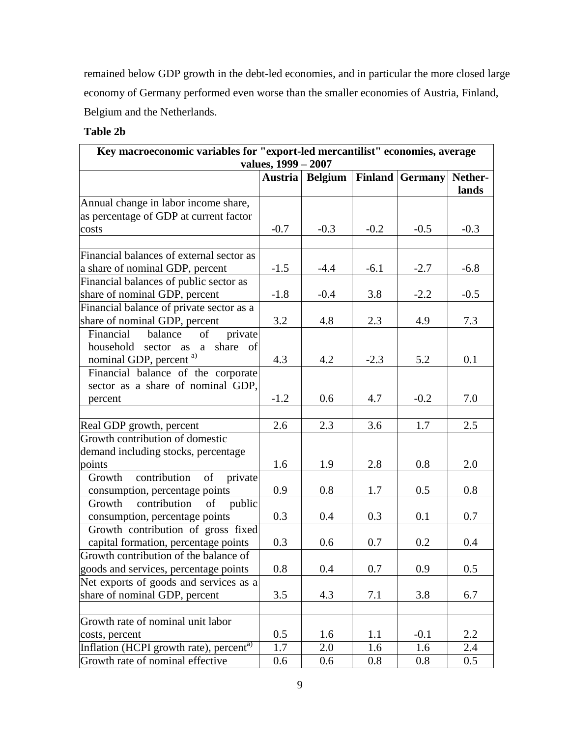remained below GDP growth in the debt-led economies, and in particular the more closed large economy of Germany performed even worse than the smaller economies of Austria, Finland, Belgium and the Netherlands.

## **Table 2b**

| Key macroeconomic variables for "export-led mercantilist" economies, average<br>values, 1999 – 2007 |                |                |        |                        |                  |  |
|-----------------------------------------------------------------------------------------------------|----------------|----------------|--------|------------------------|------------------|--|
|                                                                                                     | <b>Austria</b> | <b>Belgium</b> |        | <b>Finland Germany</b> | Nether-<br>lands |  |
| Annual change in labor income share,                                                                |                |                |        |                        |                  |  |
| as percentage of GDP at current factor                                                              |                |                |        |                        |                  |  |
| costs                                                                                               | $-0.7$         | $-0.3$         | $-0.2$ | $-0.5$                 | $-0.3$           |  |
|                                                                                                     |                |                |        |                        |                  |  |
| Financial balances of external sector as                                                            |                |                |        |                        |                  |  |
| a share of nominal GDP, percent                                                                     | $-1.5$         | $-4.4$         | $-6.1$ | $-2.7$                 | $-6.8$           |  |
| Financial balances of public sector as                                                              |                |                |        |                        |                  |  |
| share of nominal GDP, percent                                                                       | $-1.8$         | $-0.4$         | 3.8    | $-2.2$                 | $-0.5$           |  |
| Financial balance of private sector as a                                                            |                |                |        |                        |                  |  |
| share of nominal GDP, percent                                                                       | 3.2            | 4.8            | 2.3    | 4.9                    | 7.3              |  |
| Financial<br>private<br>balance<br>of                                                               |                |                |        |                        |                  |  |
| household sector as a share of                                                                      |                |                |        |                        |                  |  |
| nominal GDP, percent <sup>a)</sup>                                                                  | 4.3            | 4.2            | $-2.3$ | 5.2                    | 0.1              |  |
| Financial balance of the corporate                                                                  |                |                |        |                        |                  |  |
| sector as a share of nominal GDP,                                                                   |                |                |        |                        |                  |  |
| percent                                                                                             | $-1.2$         | 0.6            | 4.7    | $-0.2$                 | 7.0              |  |
|                                                                                                     |                |                |        |                        |                  |  |
| Real GDP growth, percent                                                                            | 2.6            | 2.3            | 3.6    | 1.7                    | 2.5              |  |
| Growth contribution of domestic                                                                     |                |                |        |                        |                  |  |
| demand including stocks, percentage                                                                 |                |                |        |                        |                  |  |
| points                                                                                              | 1.6            | 1.9            | 2.8    | 0.8                    | 2.0              |  |
| contribution<br>of<br>private<br>Growth                                                             |                |                |        |                        |                  |  |
| consumption, percentage points                                                                      | 0.9            | 0.8            | 1.7    | 0.5                    | $0.8\,$          |  |
| contribution<br>public<br>Growth<br>of                                                              |                |                |        |                        |                  |  |
| consumption, percentage points                                                                      | 0.3            | 0.4            | 0.3    | 0.1                    | 0.7              |  |
| Growth contribution of gross fixed                                                                  |                |                |        |                        |                  |  |
| capital formation, percentage points                                                                | 0.3            | 0.6            | 0.7    | 0.2                    | 0.4              |  |
| Growth contribution of the balance of                                                               |                |                |        |                        |                  |  |
| goods and services, percentage points                                                               | 0.8            | 0.4            | 0.7    | 0.9                    | 0.5              |  |
| Net exports of goods and services as a                                                              |                |                |        |                        |                  |  |
| share of nominal GDP, percent                                                                       | 3.5            | 4.3            | 7.1    | 3.8                    | 6.7              |  |
|                                                                                                     |                |                |        |                        |                  |  |
| Growth rate of nominal unit labor                                                                   |                |                |        |                        |                  |  |
| costs, percent                                                                                      | 0.5            | 1.6            | 1.1    | $-0.1$                 | 2.2              |  |
| Inflation (HCPI growth rate), percent <sup>a)</sup>                                                 | 1.7            | 2.0            | 1.6    | 1.6                    | 2.4              |  |
| Growth rate of nominal effective                                                                    | 0.6            | 0.6            | 0.8    | 0.8                    | 0.5              |  |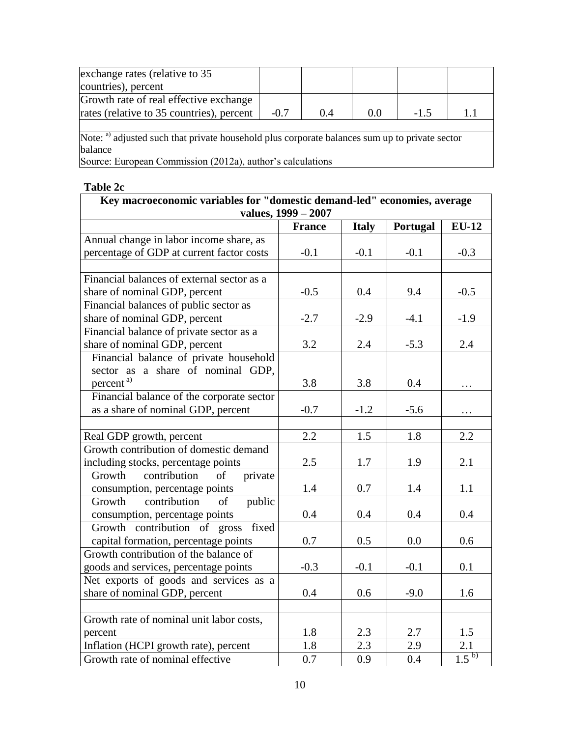| exchange rates (relative to 35            |        |     |     |        |  |
|-------------------------------------------|--------|-----|-----|--------|--|
| countries), percent                       |        |     |     |        |  |
| Growth rate of real effective exchange    |        |     |     |        |  |
| rates (relative to 35 countries), percent | $-0.7$ | 0.4 | 0.0 | $-1.5$ |  |
|                                           |        |     |     |        |  |

Note: a) adjusted such that private household plus corporate balances sum up to private sector balance

Source: European Commission (2012a), author's calculations

## **Table 2c**

| Key macroeconomic variables for "domestic demand-led" economies, average |                     |              |          |              |  |  |  |
|--------------------------------------------------------------------------|---------------------|--------------|----------|--------------|--|--|--|
|                                                                          | values, 1999 - 2007 |              |          |              |  |  |  |
|                                                                          | <b>France</b>       | <b>Italy</b> | Portugal | <b>EU-12</b> |  |  |  |
| Annual change in labor income share, as                                  |                     |              |          |              |  |  |  |
| percentage of GDP at current factor costs                                | $-0.1$              | $-0.1$       | $-0.1$   | $-0.3$       |  |  |  |
|                                                                          |                     |              |          |              |  |  |  |
| Financial balances of external sector as a                               |                     |              |          |              |  |  |  |
| share of nominal GDP, percent                                            | $-0.5$              | 0.4          | 9.4      | $-0.5$       |  |  |  |
| Financial balances of public sector as                                   |                     |              |          |              |  |  |  |
| share of nominal GDP, percent                                            | $-2.7$              | $-2.9$       | $-4.1$   | $-1.9$       |  |  |  |
| Financial balance of private sector as a                                 |                     |              |          |              |  |  |  |
| share of nominal GDP, percent                                            | 3.2                 | 2.4          | $-5.3$   | 2.4          |  |  |  |
| Financial balance of private household                                   |                     |              |          |              |  |  |  |
| sector as a share of nominal GDP,                                        |                     |              |          |              |  |  |  |
| percent <sup>a)</sup>                                                    | 3.8                 | 3.8          | 0.4      | $\cdots$     |  |  |  |
| Financial balance of the corporate sector                                |                     |              |          |              |  |  |  |
| as a share of nominal GDP, percent                                       | $-0.7$              | $-1.2$       | $-5.6$   | $\ddots$     |  |  |  |
|                                                                          |                     |              |          |              |  |  |  |
| Real GDP growth, percent                                                 | 2.2                 | 1.5          | 1.8      | 2.2          |  |  |  |
| Growth contribution of domestic demand                                   |                     |              |          |              |  |  |  |
| including stocks, percentage points                                      | 2.5                 | 1.7          | 1.9      | 2.1          |  |  |  |
| contribution<br>Growth<br>of<br>private                                  |                     |              |          |              |  |  |  |
| consumption, percentage points                                           | 1.4                 | 0.7          | 1.4      | 1.1          |  |  |  |
| contribution<br>public<br>Growth<br>of                                   |                     |              |          |              |  |  |  |
| consumption, percentage points                                           | 0.4                 | 0.4          | 0.4      | 0.4          |  |  |  |
| Growth contribution of gross fixed                                       |                     |              |          |              |  |  |  |
| capital formation, percentage points                                     | 0.7                 | 0.5          | 0.0      | 0.6          |  |  |  |
| Growth contribution of the balance of                                    |                     |              |          |              |  |  |  |
| goods and services, percentage points                                    | $-0.3$              | $-0.1$       | $-0.1$   | 0.1          |  |  |  |
| Net exports of goods and services as a                                   |                     |              |          |              |  |  |  |
| share of nominal GDP, percent                                            | 0.4                 | 0.6          | $-9.0$   | 1.6          |  |  |  |
|                                                                          |                     |              |          |              |  |  |  |
| Growth rate of nominal unit labor costs,                                 |                     |              |          |              |  |  |  |
| percent                                                                  | 1.8                 | 2.3          | 2.7      | 1.5          |  |  |  |
| Inflation (HCPI growth rate), percent                                    | 1.8                 | 2.3          | 2.9      | 2.1          |  |  |  |
| Growth rate of nominal effective                                         | 0.7                 | 0.9          | 0.4      | $1.5^{b}$    |  |  |  |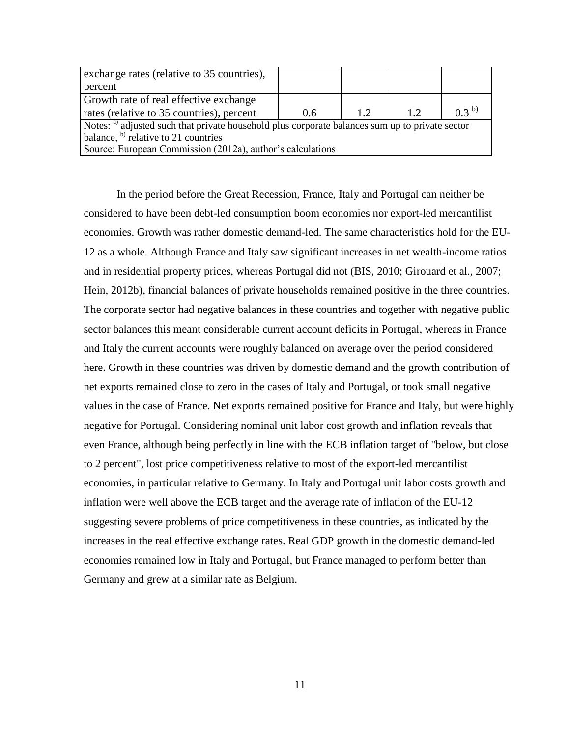| exchange rates (relative to 35 countries),                                                                 |     |     |    |            |
|------------------------------------------------------------------------------------------------------------|-----|-----|----|------------|
| percent                                                                                                    |     |     |    |            |
| Growth rate of real effective exchange                                                                     |     |     |    |            |
| rates (relative to 35 countries), percent                                                                  | 0.6 | 1.2 | 12 | $(1, 3^b)$ |
| Notes: <sup>a)</sup> adjusted such that private household plus corporate balances sum up to private sector |     |     |    |            |
| balance, b) relative to 21 countries                                                                       |     |     |    |            |
| Source: European Commission (2012a), author's calculations                                                 |     |     |    |            |

In the period before the Great Recession, France, Italy and Portugal can neither be considered to have been debt-led consumption boom economies nor export-led mercantilist economies. Growth was rather domestic demand-led. The same characteristics hold for the EU-12 as a whole. Although France and Italy saw significant increases in net wealth-income ratios and in residential property prices, whereas Portugal did not (BIS, 2010; Girouard et al., 2007; Hein, 2012b), financial balances of private households remained positive in the three countries. The corporate sector had negative balances in these countries and together with negative public sector balances this meant considerable current account deficits in Portugal, whereas in France and Italy the current accounts were roughly balanced on average over the period considered here. Growth in these countries was driven by domestic demand and the growth contribution of net exports remained close to zero in the cases of Italy and Portugal, or took small negative values in the case of France. Net exports remained positive for France and Italy, but were highly negative for Portugal. Considering nominal unit labor cost growth and inflation reveals that even France, although being perfectly in line with the ECB inflation target of "below, but close to 2 percent", lost price competitiveness relative to most of the export-led mercantilist economies, in particular relative to Germany. In Italy and Portugal unit labor costs growth and inflation were well above the ECB target and the average rate of inflation of the EU-12 suggesting severe problems of price competitiveness in these countries, as indicated by the increases in the real effective exchange rates. Real GDP growth in the domestic demand-led economies remained low in Italy and Portugal, but France managed to perform better than Germany and grew at a similar rate as Belgium.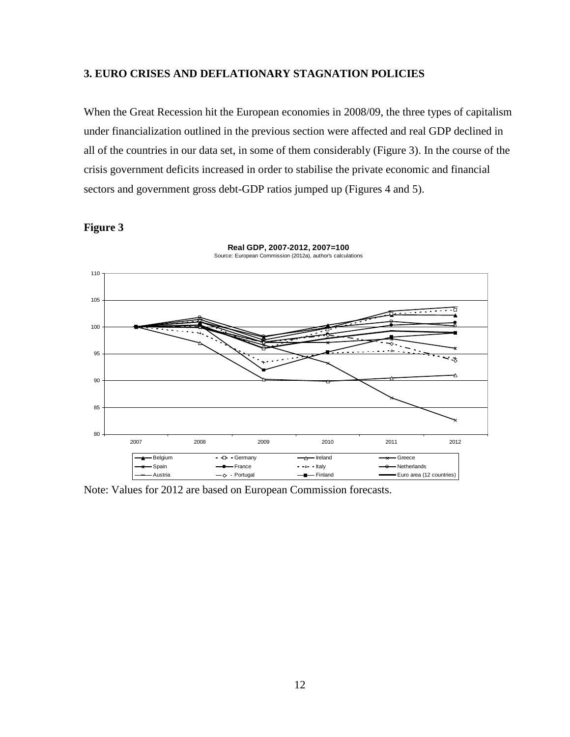### **3. EURO CRISES AND DEFLATIONARY STAGNATION POLICIES**

When the Great Recession hit the European economies in 2008/09, the three types of capitalism under financialization outlined in the previous section were affected and real GDP declined in all of the countries in our data set, in some of them considerably (Figure 3). In the course of the crisis government deficits increased in order to stabilise the private economic and financial sectors and government gross debt-GDP ratios jumped up (Figures 4 and 5).



**Figure 3**

Note: Values for 2012 are based on European Commission forecasts.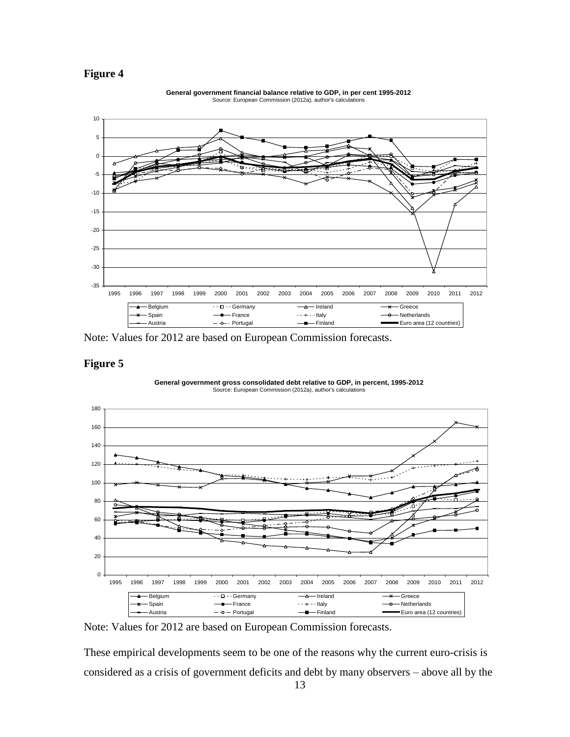### **Figure 4**



Source: European Commission (2012a), author's calculations

Note: Values for 2012 are based on European Commission forecasts.

#### **Figure 5**



**General government gross consolidated debt relative to GDP, in percent, 1995-2012** Source: European Commission (2012a), author's calculations

Note: Values for 2012 are based on European Commission forecasts.

These empirical developments seem to be one of the reasons why the current euro-crisis is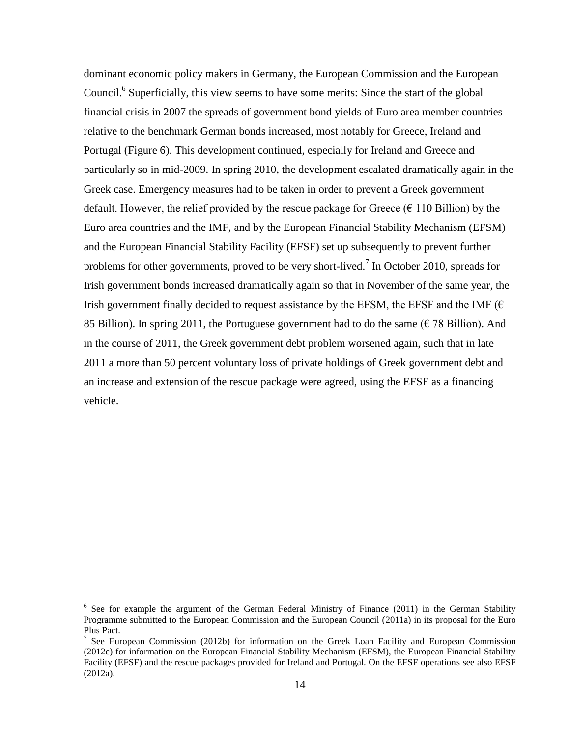dominant economic policy makers in Germany, the European Commission and the European Council.<sup>6</sup> Superficially, this view seems to have some merits: Since the start of the global financial crisis in 2007 the spreads of government bond yields of Euro area member countries relative to the benchmark German bonds increased, most notably for Greece, Ireland and Portugal (Figure 6). This development continued, especially for Ireland and Greece and particularly so in mid-2009. In spring 2010, the development escalated dramatically again in the Greek case. Emergency measures had to be taken in order to prevent a Greek government default. However, the relief provided by the rescue package for Greece ( $\epsilon$  110 Billion) by the Euro area countries and the IMF, and by the European Financial Stability Mechanism (EFSM) and the European Financial Stability Facility (EFSF) set up subsequently to prevent further problems for other governments, proved to be very short-lived.<sup>7</sup> In October 2010, spreads for Irish government bonds increased dramatically again so that in November of the same year, the Irish government finally decided to request assistance by the EFSM, the EFSF and the IMF ( $\epsilon$ 85 Billion). In spring 2011, the Portuguese government had to do the same ( $\epsilon$  78 Billion). And in the course of 2011, the Greek government debt problem worsened again, such that in late 2011 a more than 50 percent voluntary loss of private holdings of Greek government debt and an increase and extension of the rescue package were agreed, using the EFSF as a financing vehicle.

<sup>&</sup>lt;sup>6</sup> See for example the argument of the German Federal Ministry of Finance (2011) in the German Stability Programme submitted to the European Commission and the European Council (2011a) in its proposal for the Euro Plus Pact.

<sup>7</sup> See European Commission (2012b) for information on the Greek Loan Facility and European Commission (2012c) for information on the European Financial Stability Mechanism (EFSM), the European Financial Stability Facility (EFSF) and the rescue packages provided for Ireland and Portugal. On the EFSF operations see also EFSF (2012a).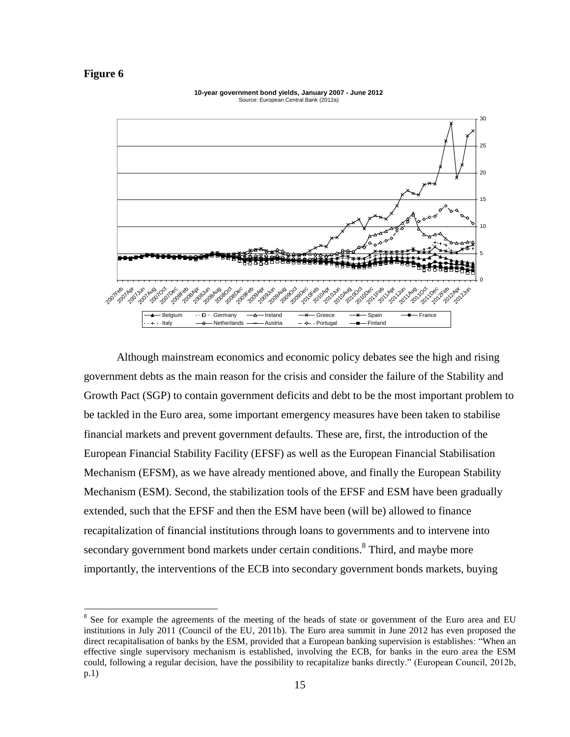#### **Figure 6**

 $\overline{a}$ 



Source: European Central Bank (2012a)

Although mainstream economics and economic policy debates see the high and rising government debts as the main reason for the crisis and consider the failure of the Stability and Growth Pact (SGP) to contain government deficits and debt to be the most important problem to be tackled in the Euro area, some important emergency measures have been taken to stabilise financial markets and prevent government defaults. These are, first, the introduction of the European Financial Stability Facility (EFSF) as well as the European Financial Stabilisation Mechanism (EFSM), as we have already mentioned above, and finally the European Stability Mechanism (ESM). Second, the stabilization tools of the EFSF and ESM have been gradually extended, such that the EFSF and then the ESM have been (will be) allowed to finance recapitalization of financial institutions through loans to governments and to intervene into secondary government bond markets under certain conditions.<sup>8</sup> Third, and maybe more importantly, the interventions of the ECB into secondary government bonds markets, buying **10-year government bond yields, January 2007**<br> **10-year government bond yields, January 2007**<br> **10-year government density of the state of the state of the state of the state of the state of the state of the state of the** 

 $8$  See for example the agreements of the meeting of the heads of state or government of the Euro area and EU institutions in July 2011 (Council of the EU, 2011b). The Euro area summit in June 2012 has even proposed the direct recapitalisation of banks by the ESM, provided that a European banking supervision is establishes: "When an effective single supervisory mechanism is established, involving the ECB, for banks in the euro area the ESM could, following a regular decision, have the possibility to recapitalize banks directly." (European Council, 2012b,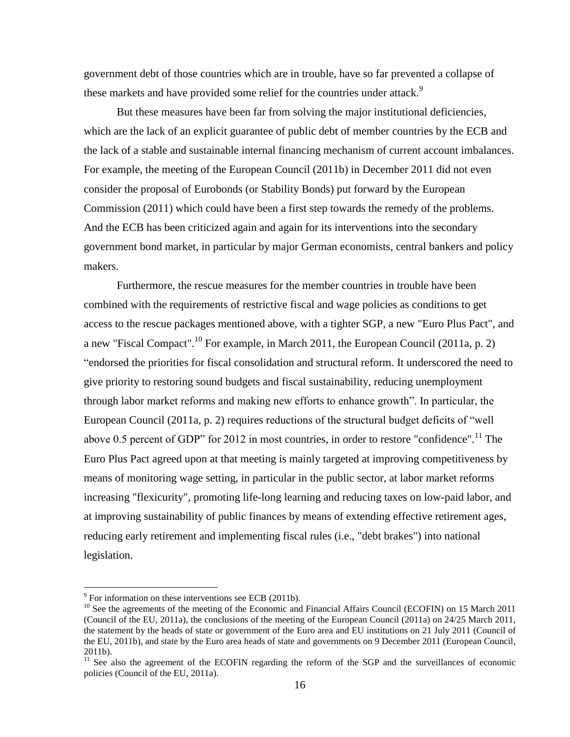government debt of those countries which are in trouble, have so far prevented a collapse of these markets and have provided some relief for the countries under attack.<sup>9</sup>

But these measures have been far from solving the major institutional deficiencies, which are the lack of an explicit guarantee of public debt of member countries by the ECB and the lack of a stable and sustainable internal financing mechanism of current account imbalances. For example, the meeting of the European Council (2011b) in December 2011 did not even consider the proposal of Eurobonds (or Stability Bonds) put forward by the European Commission (2011) which could have been a first step towards the remedy of the problems. And the ECB has been criticized again and again for its interventions into the secondary government bond market, in particular by major German economists, central bankers and policy makers.

Furthermore, the rescue measures for the member countries in trouble have been combined with the requirements of restrictive fiscal and wage policies as conditions to get access to the rescue packages mentioned above, with a tighter SGP, a new "Euro Plus Pact", and a new "Fiscal Compact".<sup>10</sup> For example, in March 2011, the European Council (2011a, p. 2) "endorsed the priorities for fiscal consolidation and structural reform. It underscored the need to give priority to restoring sound budgets and fiscal sustainability, reducing unemployment through labor market reforms and making new efforts to enhance growth". In particular, the European Council (2011a, p. 2) requires reductions of the structural budget deficits of "well above 0.5 percent of GDP" for 2012 in most countries, in order to restore "confidence".<sup>11</sup> The Euro Plus Pact agreed upon at that meeting is mainly targeted at improving competitiveness by means of monitoring wage setting, in particular in the public sector, at labor market reforms increasing "flexicurity", promoting life-long learning and reducing taxes on low-paid labor, and at improving sustainability of public finances by means of extending effective retirement ages, reducing early retirement and implementing fiscal rules (i.e., "debt brakes") into national legislation.

 $9^9$  For information on these interventions see ECB (2011b).

<sup>&</sup>lt;sup>10</sup> See the agreements of the meeting of the Economic and Financial Affairs Council (ECOFIN) on 15 March 2011 (Council of the EU, 2011a), the conclusions of the meeting of the European Council (2011a) on 24/25 March 2011, the statement by the heads of state or government of the Euro area and EU institutions on 21 July 2011 (Council of the EU, 2011b), and state by the Euro area heads of state and governments on 9 December 2011 (European Council, 2011b).

 $11$  See also the agreement of the ECOFIN regarding the reform of the SGP and the surveillances of economic policies (Council of the EU, 2011a).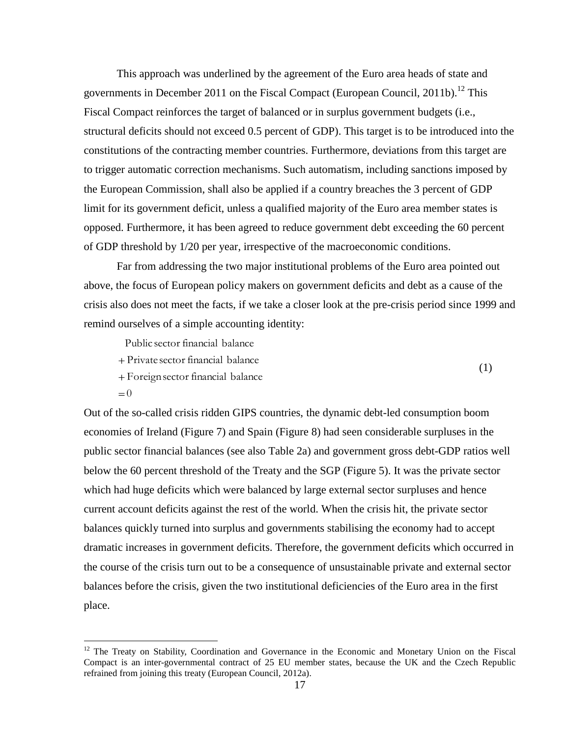This approach was underlined by the agreement of the Euro area heads of state and governments in December 2011 on the Fiscal Compact (European Council, 2011b).<sup>12</sup> This Fiscal Compact reinforces the target of balanced or in surplus government budgets (i.e., structural deficits should not exceed 0.5 percent of GDP). This target is to be introduced into the constitutions of the contracting member countries. Furthermore, deviations from this target are to trigger automatic correction mechanisms. Such automatism, including sanctions imposed by the European Commission, shall also be applied if a country breaches the 3 percent of GDP limit for its government deficit, unless a qualified majority of the Euro area member states is opposed. Furthermore, it has been agreed to reduce government debt exceeding the 60 percent of GDP threshold by 1/20 per year, irrespective of the macroeconomic conditions.

Far from addressing the two major institutional problems of the Euro area pointed out above, the focus of European policy makers on government deficits and debt as a cause of the crisis also does not meet the facts, if we take a closer look at the pre-crisis period since 1999 and remind ourselves of a simple accounting identity:

(1)

Public sector financial balance

- Privatesector financial balance
- Foreignsector financial balance

 $= 0$ 

 $\overline{a}$ 

Out of the so-called crisis ridden GIPS countries, the dynamic debt-led consumption boom economies of Ireland (Figure 7) and Spain (Figure 8) had seen considerable surpluses in the public sector financial balances (see also Table 2a) and government gross debt-GDP ratios well below the 60 percent threshold of the Treaty and the SGP (Figure 5). It was the private sector which had huge deficits which were balanced by large external sector surpluses and hence current account deficits against the rest of the world. When the crisis hit, the private sector balances quickly turned into surplus and governments stabilising the economy had to accept dramatic increases in government deficits. Therefore, the government deficits which occurred in the course of the crisis turn out to be a consequence of unsustainable private and external sector balances before the crisis, given the two institutional deficiencies of the Euro area in the first place.

<sup>&</sup>lt;sup>12</sup> The Treaty on Stability, Coordination and Governance in the Economic and Monetary Union on the Fiscal Compact is an inter-governmental contract of 25 EU member states, because the UK and the Czech Republic refrained from joining this treaty (European Council, 2012a).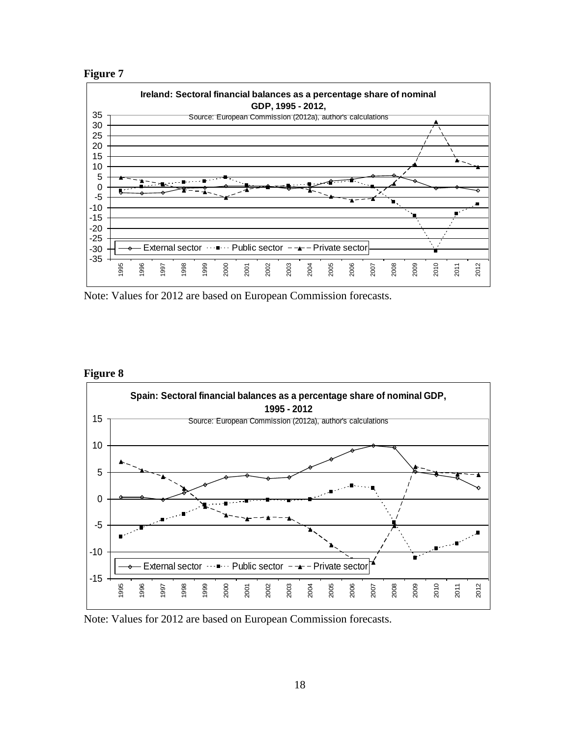



Note: Values for 2012 are based on European Commission forecasts.





Note: Values for 2012 are based on European Commission forecasts.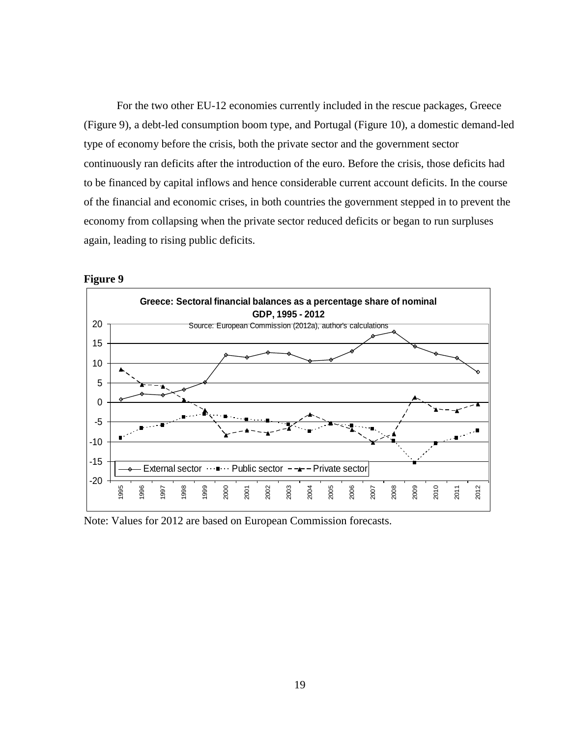For the two other EU-12 economies currently included in the rescue packages, Greece (Figure 9), a debt-led consumption boom type, and Portugal (Figure 10), a domestic demand-led type of economy before the crisis, both the private sector and the government sector continuously ran deficits after the introduction of the euro. Before the crisis, those deficits had to be financed by capital inflows and hence considerable current account deficits. In the course of the financial and economic crises, in both countries the government stepped in to prevent the economy from collapsing when the private sector reduced deficits or began to run surpluses again, leading to rising public deficits.



**Figure 9**

Note: Values for 2012 are based on European Commission forecasts.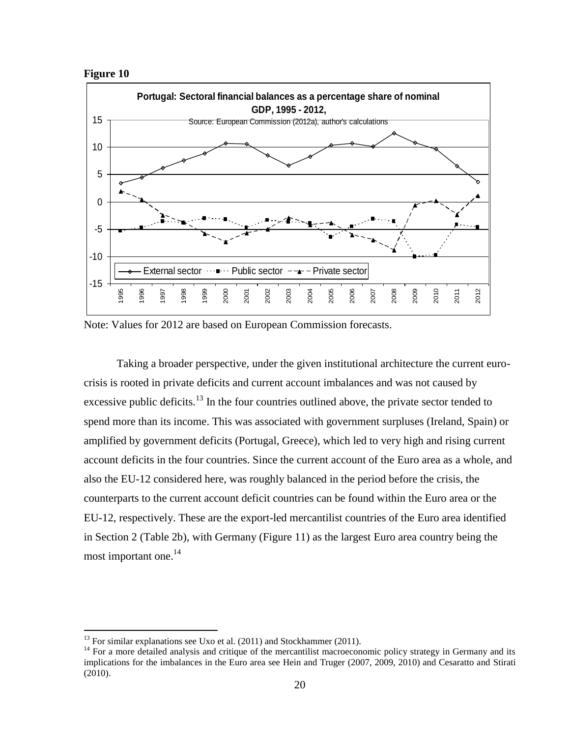

 $\overline{a}$ 



Note: Values for 2012 are based on European Commission forecasts.

Taking a broader perspective, under the given institutional architecture the current eurocrisis is rooted in private deficits and current account imbalances and was not caused by excessive public deficits.<sup>13</sup> In the four countries outlined above, the private sector tended to spend more than its income. This was associated with government surpluses (Ireland, Spain) or amplified by government deficits (Portugal, Greece), which led to very high and rising current account deficits in the four countries. Since the current account of the Euro area as a whole, and also the EU-12 considered here, was roughly balanced in the period before the crisis, the counterparts to the current account deficit countries can be found within the Euro area or the EU-12, respectively. These are the export-led mercantilist countries of the Euro area identified in Section 2 (Table 2b), with Germany (Figure 11) as the largest Euro area country being the most important one.<sup>14</sup>

 $13$  For similar explanations see Uxo et al. (2011) and Stockhammer (2011).

<sup>&</sup>lt;sup>14</sup> For a more detailed analysis and critique of the mercantilist macroeconomic policy strategy in Germany and its implications for the imbalances in the Euro area see Hein and Truger (2007, 2009, 2010) and Cesaratto and Stirati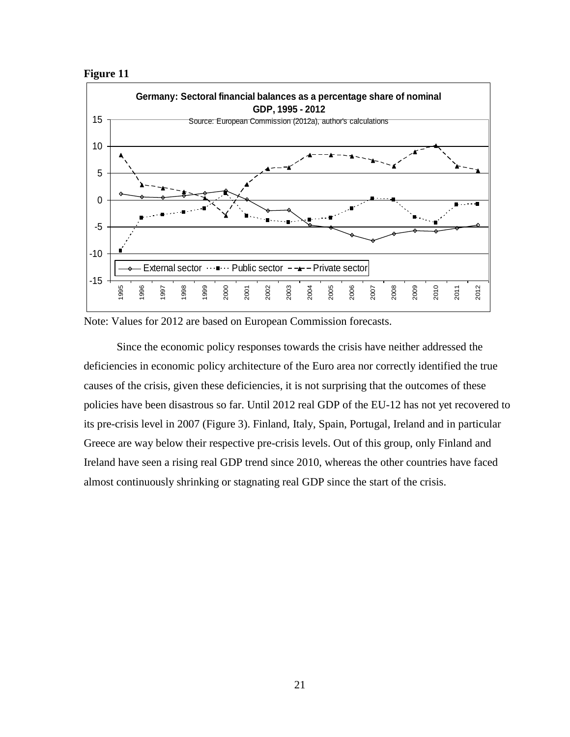



Note: Values for 2012 are based on European Commission forecasts.

Since the economic policy responses towards the crisis have neither addressed the deficiencies in economic policy architecture of the Euro area nor correctly identified the true causes of the crisis, given these deficiencies, it is not surprising that the outcomes of these policies have been disastrous so far. Until 2012 real GDP of the EU-12 has not yet recovered to its pre-crisis level in 2007 (Figure 3). Finland, Italy, Spain, Portugal, Ireland and in particular Greece are way below their respective pre-crisis levels. Out of this group, only Finland and Ireland have seen a rising real GDP trend since 2010, whereas the other countries have faced almost continuously shrinking or stagnating real GDP since the start of the crisis.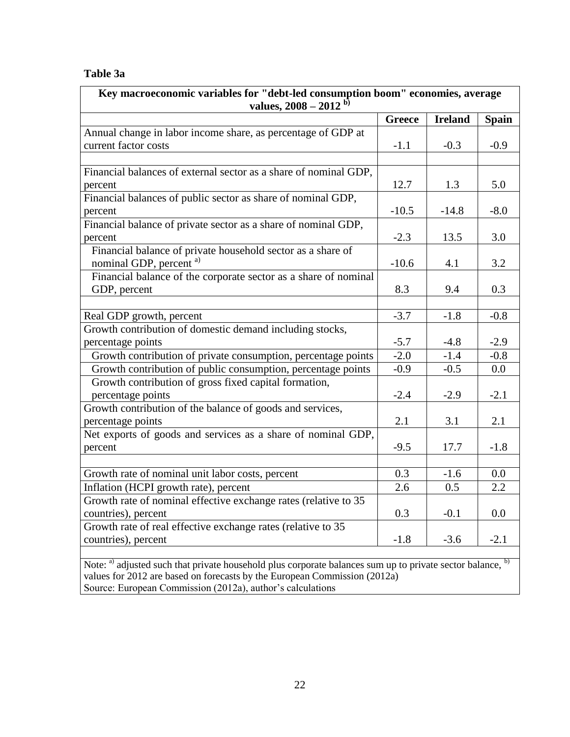## **Table 3a**

| Key macroeconomic variables for "debt-led consumption boom" economies, average |               |                |              |  |  |
|--------------------------------------------------------------------------------|---------------|----------------|--------------|--|--|
| values, $2008 - 2012^{b}$                                                      | <b>Greece</b> | <b>Ireland</b> | <b>Spain</b> |  |  |
| Annual change in labor income share, as percentage of GDP at                   |               |                |              |  |  |
| current factor costs                                                           | $-1.1$        | $-0.3$         | $-0.9$       |  |  |
|                                                                                |               |                |              |  |  |
| Financial balances of external sector as a share of nominal GDP,               |               |                |              |  |  |
| percent                                                                        | 12.7          | 1.3            | 5.0          |  |  |
| Financial balances of public sector as share of nominal GDP,                   |               |                |              |  |  |
| percent                                                                        | $-10.5$       | $-14.8$        | $-8.0$       |  |  |
| Financial balance of private sector as a share of nominal GDP,                 |               |                |              |  |  |
| percent                                                                        | $-2.3$        | 13.5           | 3.0          |  |  |
| Financial balance of private household sector as a share of                    |               |                |              |  |  |
| nominal GDP, percent <sup>a)</sup>                                             | $-10.6$       | 4.1            | 3.2          |  |  |
| Financial balance of the corporate sector as a share of nominal                |               |                |              |  |  |
| GDP, percent                                                                   | 8.3           | 9.4            | 0.3          |  |  |
|                                                                                |               |                |              |  |  |
| Real GDP growth, percent                                                       | $-3.7$        | $-1.8$         | $-0.8$       |  |  |
| Growth contribution of domestic demand including stocks,                       |               |                |              |  |  |
| percentage points                                                              | $-5.7$        | $-4.8$         | $-2.9$       |  |  |
| Growth contribution of private consumption, percentage points                  | $-2.0$        | $-1.4$         | $-0.8$       |  |  |
| Growth contribution of public consumption, percentage points                   | $-0.9$        | $-0.5$         | 0.0          |  |  |
| Growth contribution of gross fixed capital formation,                          |               |                |              |  |  |
| percentage points                                                              | $-2.4$        | $-2.9$         | $-2.1$       |  |  |
| Growth contribution of the balance of goods and services,                      |               |                |              |  |  |
| percentage points                                                              | 2.1           | 3.1            | 2.1          |  |  |
| Net exports of goods and services as a share of nominal GDP,                   |               |                |              |  |  |
| percent                                                                        | $-9.5$        | 17.7           | $-1.8$       |  |  |
|                                                                                |               |                |              |  |  |
| Growth rate of nominal unit labor costs, percent                               | 0.3           | $-1.6$         | 0.0          |  |  |
| Inflation (HCPI growth rate), percent                                          | 2.6           | 0.5            | 2.2          |  |  |
| Growth rate of nominal effective exchange rates (relative to 35                |               |                |              |  |  |
| countries), percent                                                            | 0.3           | $-0.1$         | 0.0          |  |  |
| Growth rate of real effective exchange rates (relative to 35                   |               |                |              |  |  |
| countries), percent                                                            | $-1.8$        | $-3.6$         | $-2.1$       |  |  |
|                                                                                |               |                |              |  |  |

Note: <sup>a)</sup> adjusted such that private household plus corporate balances sum up to private sector balance, <sup>b)</sup> values for 2012 are based on forecasts by the European Commission (2012a) Source: European Commission (2012a), author's calculations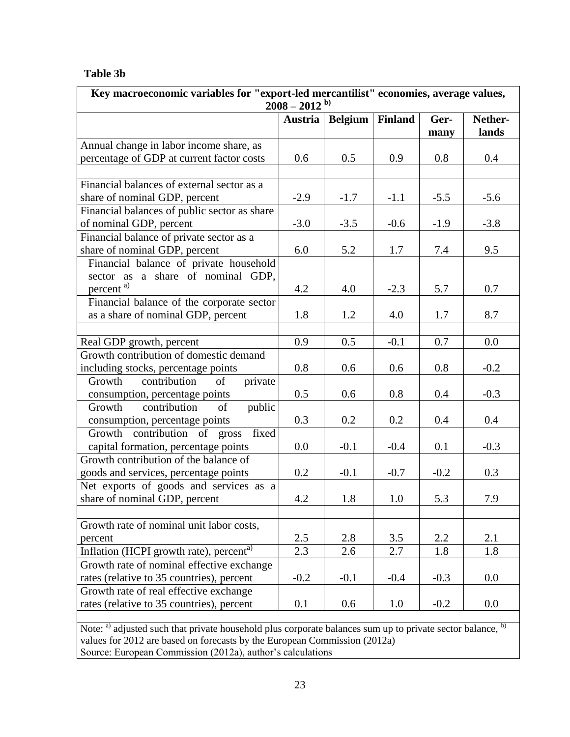## **Table 3b**

| Key macroeconomic variables for "export-led mercantilist" economies, average values,<br>$2008 - 2012$ <sup>b)</sup> |         |         |                |              |                  |  |
|---------------------------------------------------------------------------------------------------------------------|---------|---------|----------------|--------------|------------------|--|
|                                                                                                                     | Austria | Belgium | <b>Finland</b> | Ger-<br>many | Nether-<br>lands |  |
| Annual change in labor income share, as                                                                             |         |         |                |              |                  |  |
| percentage of GDP at current factor costs                                                                           | 0.6     | 0.5     | 0.9            | 0.8          | 0.4              |  |
| Financial balances of external sector as a                                                                          |         |         |                |              |                  |  |
| share of nominal GDP, percent                                                                                       | $-2.9$  | $-1.7$  | $-1.1$         | $-5.5$       | $-5.6$           |  |
| Financial balances of public sector as share                                                                        |         |         |                |              |                  |  |
| of nominal GDP, percent                                                                                             | $-3.0$  | $-3.5$  | $-0.6$         | $-1.9$       | $-3.8$           |  |
| Financial balance of private sector as a                                                                            |         |         |                |              |                  |  |
| share of nominal GDP, percent                                                                                       | 6.0     | 5.2     | 1.7            | 7.4          | 9.5              |  |
| Financial balance of private household                                                                              |         |         |                |              |                  |  |
| sector as a share of nominal GDP,                                                                                   |         |         |                |              |                  |  |
| percent <sup>a)</sup>                                                                                               | 4.2     | 4.0     | $-2.3$         | 5.7          | 0.7              |  |
| Financial balance of the corporate sector                                                                           |         |         |                |              |                  |  |
| as a share of nominal GDP, percent                                                                                  | 1.8     | 1.2     | 4.0            | 1.7          | 8.7              |  |
|                                                                                                                     |         |         |                |              |                  |  |
| Real GDP growth, percent                                                                                            | 0.9     | 0.5     | $-0.1$         | 0.7          | 0.0              |  |
| Growth contribution of domestic demand                                                                              |         |         |                |              |                  |  |
| including stocks, percentage points                                                                                 | 0.8     | 0.6     | 0.6            | 0.8          | $-0.2$           |  |
| Growth<br>contribution<br>private<br>of                                                                             |         |         |                |              |                  |  |
| consumption, percentage points                                                                                      | 0.5     | 0.6     | 0.8            | 0.4          | $-0.3$           |  |
| contribution<br>public<br>Growth<br>of                                                                              |         |         |                |              |                  |  |
| consumption, percentage points                                                                                      | 0.3     | 0.2     | 0.2            | 0.4          | 0.4              |  |
| contribution of gross<br>fixed<br>Growth                                                                            |         |         |                |              |                  |  |
| capital formation, percentage points                                                                                | 0.0     | $-0.1$  | $-0.4$         | 0.1          | $-0.3$           |  |
| Growth contribution of the balance of                                                                               |         |         |                |              |                  |  |
| goods and services, percentage points                                                                               | 0.2     | $-0.1$  | $-0.7$         | $-0.2$       | 0.3              |  |
| Net exports of goods and services as a                                                                              |         |         |                |              |                  |  |
| share of nominal GDP, percent                                                                                       | 4.2     | 1.8     | 1.0            | 5.3          | 7.9              |  |
|                                                                                                                     |         |         |                |              |                  |  |
| Growth rate of nominal unit labor costs,                                                                            |         |         |                |              |                  |  |
| percent                                                                                                             | 2.5     | 2.8     | 3.5            | 2.2          | 2.1              |  |
| Inflation (HCPI growth rate), percent <sup>a)</sup>                                                                 | 2.3     | 2.6     | 2.7            | 1.8          | 1.8              |  |
| Growth rate of nominal effective exchange                                                                           |         |         |                |              |                  |  |
| rates (relative to 35 countries), percent                                                                           | $-0.2$  | $-0.1$  | $-0.4$         | $-0.3$       | 0.0              |  |
| Growth rate of real effective exchange                                                                              |         |         |                |              |                  |  |
| rates (relative to 35 countries), percent                                                                           | 0.1     | 0.6     | 1.0            | $-0.2$       | 0.0              |  |

Note: <sup>a)</sup> adjusted such that private household plus corporate balances sum up to private sector balance, <sup>b)</sup> values for 2012 are based on forecasts by the European Commission (2012a) Source: European Commission (2012a), author's calculations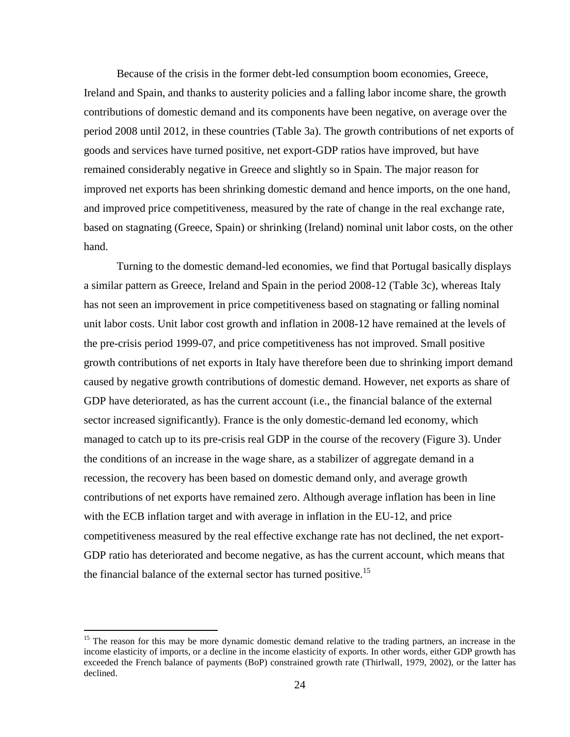Because of the crisis in the former debt-led consumption boom economies, Greece, Ireland and Spain, and thanks to austerity policies and a falling labor income share, the growth contributions of domestic demand and its components have been negative, on average over the period 2008 until 2012, in these countries (Table 3a). The growth contributions of net exports of goods and services have turned positive, net export-GDP ratios have improved, but have remained considerably negative in Greece and slightly so in Spain. The major reason for improved net exports has been shrinking domestic demand and hence imports, on the one hand, and improved price competitiveness, measured by the rate of change in the real exchange rate, based on stagnating (Greece, Spain) or shrinking (Ireland) nominal unit labor costs, on the other hand.

Turning to the domestic demand-led economies, we find that Portugal basically displays a similar pattern as Greece, Ireland and Spain in the period 2008-12 (Table 3c), whereas Italy has not seen an improvement in price competitiveness based on stagnating or falling nominal unit labor costs. Unit labor cost growth and inflation in 2008-12 have remained at the levels of the pre-crisis period 1999-07, and price competitiveness has not improved. Small positive growth contributions of net exports in Italy have therefore been due to shrinking import demand caused by negative growth contributions of domestic demand. However, net exports as share of GDP have deteriorated, as has the current account (i.e., the financial balance of the external sector increased significantly). France is the only domestic-demand led economy, which managed to catch up to its pre-crisis real GDP in the course of the recovery (Figure 3). Under the conditions of an increase in the wage share, as a stabilizer of aggregate demand in a recession, the recovery has been based on domestic demand only, and average growth contributions of net exports have remained zero. Although average inflation has been in line with the ECB inflation target and with average in inflation in the EU-12, and price competitiveness measured by the real effective exchange rate has not declined, the net export-GDP ratio has deteriorated and become negative, as has the current account, which means that the financial balance of the external sector has turned positive.<sup>15</sup>

<sup>&</sup>lt;sup>15</sup> The reason for this may be more dynamic domestic demand relative to the trading partners, an increase in the income elasticity of imports, or a decline in the income elasticity of exports. In other words, either GDP growth has exceeded the French balance of payments (BoP) constrained growth rate (Thirlwall, 1979, 2002), or the latter has declined.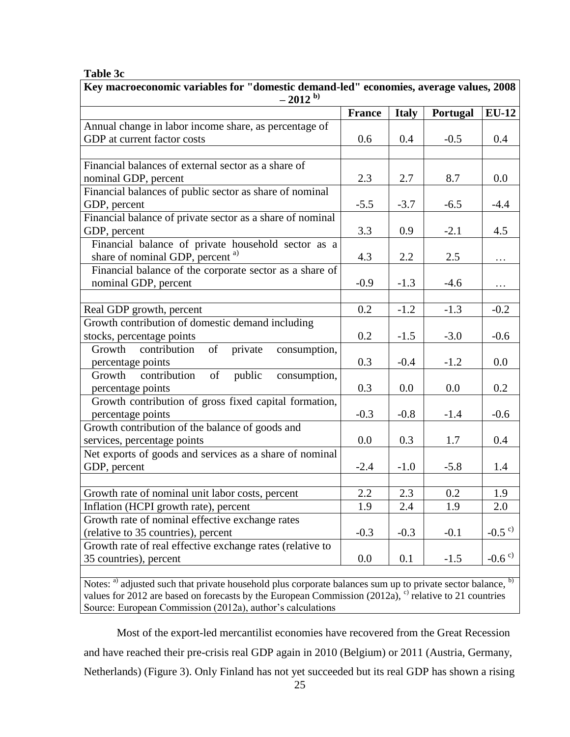### **Table 3c**

| Key macroeconomic variables for "domestic demand-led" economies, average values, 2008<br>$-2012^{b}$ |               |              |          |                |
|------------------------------------------------------------------------------------------------------|---------------|--------------|----------|----------------|
|                                                                                                      | <b>France</b> | <b>Italy</b> | Portugal | <b>EU-12</b>   |
| Annual change in labor income share, as percentage of                                                |               |              |          |                |
| GDP at current factor costs                                                                          | 0.6           | 0.4          | $-0.5$   | 0.4            |
|                                                                                                      |               |              |          |                |
| Financial balances of external sector as a share of                                                  |               |              |          |                |
| nominal GDP, percent                                                                                 | 2.3           | 2.7          | 8.7      | 0.0            |
| Financial balances of public sector as share of nominal                                              |               |              |          |                |
| GDP, percent                                                                                         | $-5.5$        | $-3.7$       | $-6.5$   | $-4.4$         |
| Financial balance of private sector as a share of nominal                                            |               |              |          |                |
| GDP, percent                                                                                         | 3.3           | 0.9          | $-2.1$   | 4.5            |
| Financial balance of private household sector as a                                                   |               |              |          |                |
| share of nominal GDP, percent <sup>a)</sup>                                                          | 4.3           | 2.2          | 2.5      | .              |
| Financial balance of the corporate sector as a share of                                              |               |              |          |                |
| nominal GDP, percent                                                                                 | $-0.9$        | $-1.3$       | $-4.6$   | .              |
|                                                                                                      |               |              |          |                |
| Real GDP growth, percent                                                                             | 0.2           | $-1.2$       | $-1.3$   | $-0.2$         |
| Growth contribution of domestic demand including                                                     |               |              |          |                |
| stocks, percentage points                                                                            | 0.2           | $-1.5$       | $-3.0$   | $-0.6$         |
| of<br>private<br>contribution<br>consumption,<br>Growth                                              |               |              |          |                |
| percentage points                                                                                    | 0.3           | $-0.4$       | $-1.2$   | 0.0            |
| contribution<br>of public<br>consumption,<br>Growth                                                  |               |              |          |                |
| percentage points                                                                                    | 0.3           | 0.0          | 0.0      | 0.2            |
| Growth contribution of gross fixed capital formation,                                                |               |              |          |                |
| percentage points                                                                                    | $-0.3$        | $-0.8$       | $-1.4$   | $-0.6$         |
| Growth contribution of the balance of goods and                                                      |               |              |          |                |
| services, percentage points                                                                          | 0.0           | 0.3          | 1.7      | 0.4            |
| Net exports of goods and services as a share of nominal                                              |               |              |          |                |
| GDP, percent                                                                                         | $-2.4$        | $-1.0$       | $-5.8$   | 1.4            |
|                                                                                                      |               |              |          |                |
| Growth rate of nominal unit labor costs, percent                                                     | 2.2           | 2.3          | 0.2      | 1.9            |
| Inflation (HCPI growth rate), percent                                                                | 1.9           | 2.4          | 1.9      | 2.0            |
| Growth rate of nominal effective exchange rates                                                      |               |              |          |                |
| (relative to 35 countries), percent                                                                  | $-0.3$        | $-0.3$       | $-0.1$   | $-0.5^{\circ}$ |
| Growth rate of real effective exchange rates (relative to                                            |               |              |          |                |
| 35 countries), percent                                                                               | 0.0           | 0.1          | $-1.5$   | $-0.6^{\circ}$ |
|                                                                                                      |               |              |          |                |

Notes: <sup>a)</sup> adjusted such that private household plus corporate balances sum up to private sector balance, <sup>b)</sup> values for 2012 are based on forecasts by the European Commission (2012a),  $\degree$  relative to 21 countries Source: European Commission (2012a), author's calculations

Most of the export-led mercantilist economies have recovered from the Great Recession and have reached their pre-crisis real GDP again in 2010 (Belgium) or 2011 (Austria, Germany, Netherlands) (Figure 3). Only Finland has not yet succeeded but its real GDP has shown a rising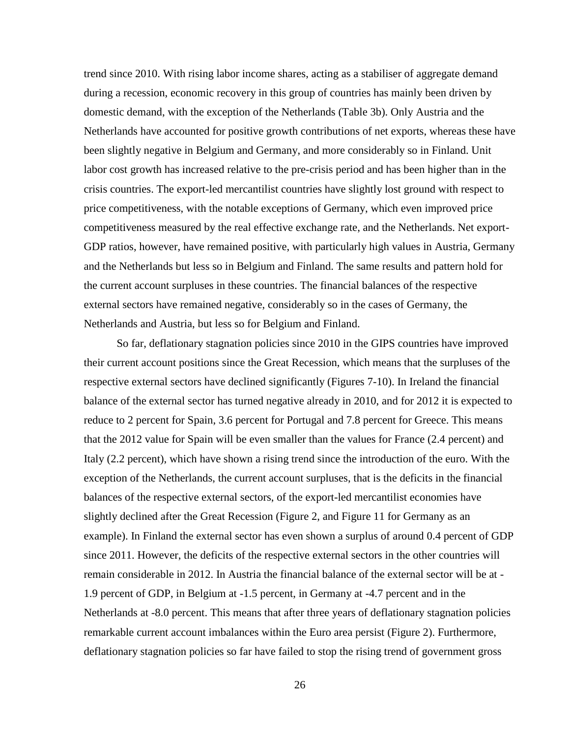trend since 2010. With rising labor income shares, acting as a stabiliser of aggregate demand during a recession, economic recovery in this group of countries has mainly been driven by domestic demand, with the exception of the Netherlands (Table 3b). Only Austria and the Netherlands have accounted for positive growth contributions of net exports, whereas these have been slightly negative in Belgium and Germany, and more considerably so in Finland. Unit labor cost growth has increased relative to the pre-crisis period and has been higher than in the crisis countries. The export-led mercantilist countries have slightly lost ground with respect to price competitiveness, with the notable exceptions of Germany, which even improved price competitiveness measured by the real effective exchange rate, and the Netherlands. Net export-GDP ratios, however, have remained positive, with particularly high values in Austria, Germany and the Netherlands but less so in Belgium and Finland. The same results and pattern hold for the current account surpluses in these countries. The financial balances of the respective external sectors have remained negative, considerably so in the cases of Germany, the Netherlands and Austria, but less so for Belgium and Finland.

So far, deflationary stagnation policies since 2010 in the GIPS countries have improved their current account positions since the Great Recession, which means that the surpluses of the respective external sectors have declined significantly (Figures 7-10). In Ireland the financial balance of the external sector has turned negative already in 2010, and for 2012 it is expected to reduce to 2 percent for Spain, 3.6 percent for Portugal and 7.8 percent for Greece. This means that the 2012 value for Spain will be even smaller than the values for France (2.4 percent) and Italy (2.2 percent), which have shown a rising trend since the introduction of the euro. With the exception of the Netherlands, the current account surpluses, that is the deficits in the financial balances of the respective external sectors, of the export-led mercantilist economies have slightly declined after the Great Recession (Figure 2, and Figure 11 for Germany as an example). In Finland the external sector has even shown a surplus of around 0.4 percent of GDP since 2011. However, the deficits of the respective external sectors in the other countries will remain considerable in 2012. In Austria the financial balance of the external sector will be at - 1.9 percent of GDP, in Belgium at -1.5 percent, in Germany at -4.7 percent and in the Netherlands at -8.0 percent. This means that after three years of deflationary stagnation policies remarkable current account imbalances within the Euro area persist (Figure 2). Furthermore, deflationary stagnation policies so far have failed to stop the rising trend of government gross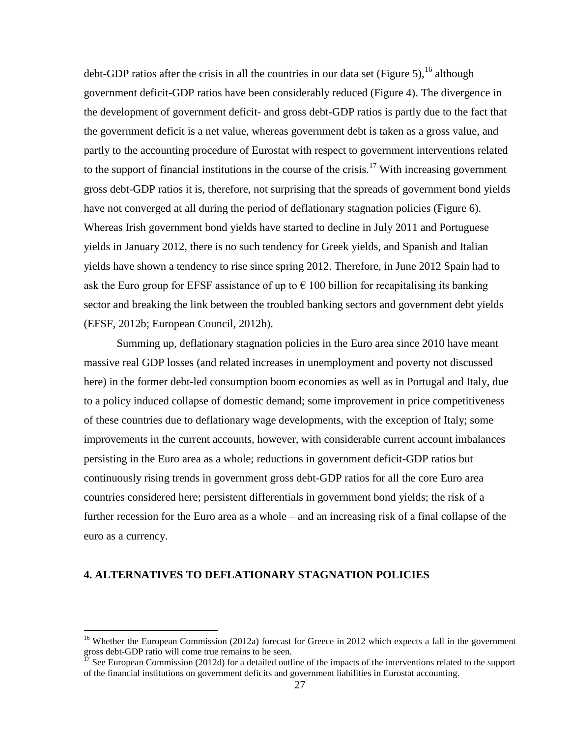debt-GDP ratios after the crisis in all the countries in our data set (Figure 5),  $^{16}$  although government deficit-GDP ratios have been considerably reduced (Figure 4). The divergence in the development of government deficit- and gross debt-GDP ratios is partly due to the fact that the government deficit is a net value, whereas government debt is taken as a gross value, and partly to the accounting procedure of Eurostat with respect to government interventions related to the support of financial institutions in the course of the crisis.<sup>17</sup> With increasing government gross debt-GDP ratios it is, therefore, not surprising that the spreads of government bond yields have not converged at all during the period of deflationary stagnation policies (Figure 6). Whereas Irish government bond yields have started to decline in July 2011 and Portuguese yields in January 2012, there is no such tendency for Greek yields, and Spanish and Italian yields have shown a tendency to rise since spring 2012. Therefore, in June 2012 Spain had to ask the Euro group for EFSF assistance of up to  $\epsilon$  100 billion for recapitalising its banking sector and breaking the link between the troubled banking sectors and government debt yields (EFSF, 2012b; European Council, 2012b).

Summing up, deflationary stagnation policies in the Euro area since 2010 have meant massive real GDP losses (and related increases in unemployment and poverty not discussed here) in the former debt-led consumption boom economies as well as in Portugal and Italy, due to a policy induced collapse of domestic demand; some improvement in price competitiveness of these countries due to deflationary wage developments, with the exception of Italy; some improvements in the current accounts, however, with considerable current account imbalances persisting in the Euro area as a whole; reductions in government deficit-GDP ratios but continuously rising trends in government gross debt-GDP ratios for all the core Euro area countries considered here; persistent differentials in government bond yields; the risk of a further recession for the Euro area as a whole – and an increasing risk of a final collapse of the euro as a currency.

## **4. ALTERNATIVES TO DEFLATIONARY STAGNATION POLICIES**

<sup>&</sup>lt;sup>16</sup> Whether the European Commission (2012a) forecast for Greece in 2012 which expects a fall in the government gross debt-GDP ratio will come true remains to be seen.

See European Commission (2012d) for a detailed outline of the impacts of the interventions related to the support of the financial institutions on government deficits and government liabilities in Eurostat accounting.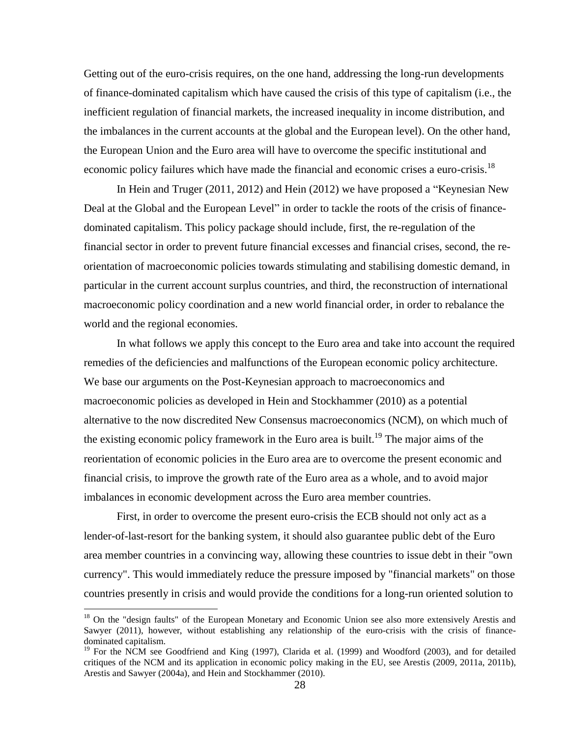Getting out of the euro-crisis requires, on the one hand, addressing the long-run developments of finance-dominated capitalism which have caused the crisis of this type of capitalism (i.e., the inefficient regulation of financial markets, the increased inequality in income distribution, and the imbalances in the current accounts at the global and the European level). On the other hand, the European Union and the Euro area will have to overcome the specific institutional and economic policy failures which have made the financial and economic crises a euro-crisis.<sup>18</sup>

In Hein and Truger (2011, 2012) and Hein (2012) we have proposed a "Keynesian New Deal at the Global and the European Level" in order to tackle the roots of the crisis of financedominated capitalism. This policy package should include, first, the re-regulation of the financial sector in order to prevent future financial excesses and financial crises, second, the reorientation of macroeconomic policies towards stimulating and stabilising domestic demand, in particular in the current account surplus countries, and third, the reconstruction of international macroeconomic policy coordination and a new world financial order, in order to rebalance the world and the regional economies.

In what follows we apply this concept to the Euro area and take into account the required remedies of the deficiencies and malfunctions of the European economic policy architecture. We base our arguments on the Post-Keynesian approach to macroeconomics and macroeconomic policies as developed in Hein and Stockhammer (2010) as a potential alternative to the now discredited New Consensus macroeconomics (NCM), on which much of the existing economic policy framework in the Euro area is built.<sup>19</sup> The major aims of the reorientation of economic policies in the Euro area are to overcome the present economic and financial crisis, to improve the growth rate of the Euro area as a whole, and to avoid major imbalances in economic development across the Euro area member countries.

First, in order to overcome the present euro-crisis the ECB should not only act as a lender-of-last-resort for the banking system, it should also guarantee public debt of the Euro area member countries in a convincing way, allowing these countries to issue debt in their "own currency". This would immediately reduce the pressure imposed by "financial markets" on those countries presently in crisis and would provide the conditions for a long-run oriented solution to

<sup>&</sup>lt;sup>18</sup> On the "design faults" of the European Monetary and Economic Union see also more extensively Arestis and Sawyer (2011), however, without establishing any relationship of the euro-crisis with the crisis of financedominated capitalism.

<sup>&</sup>lt;sup>19</sup> For the NCM see Goodfriend and King (1997), Clarida et al. (1999) and Woodford (2003), and for detailed critiques of the NCM and its application in economic policy making in the EU, see Arestis (2009, 2011a, 2011b), Arestis and Sawyer (2004a), and Hein and Stockhammer (2010).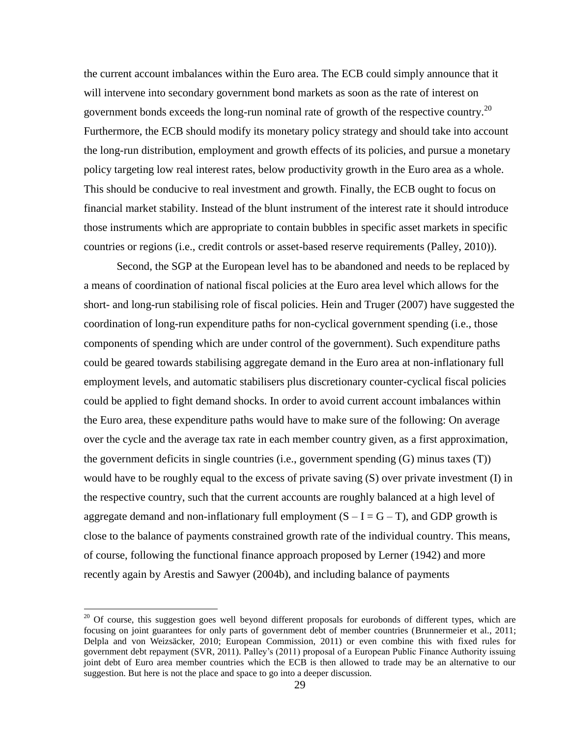the current account imbalances within the Euro area. The ECB could simply announce that it will intervene into secondary government bond markets as soon as the rate of interest on government bonds exceeds the long-run nominal rate of growth of the respective country.<sup>20</sup> Furthermore, the ECB should modify its monetary policy strategy and should take into account the long-run distribution, employment and growth effects of its policies, and pursue a monetary policy targeting low real interest rates, below productivity growth in the Euro area as a whole. This should be conducive to real investment and growth. Finally, the ECB ought to focus on financial market stability. Instead of the blunt instrument of the interest rate it should introduce those instruments which are appropriate to contain bubbles in specific asset markets in specific countries or regions (i.e., credit controls or asset-based reserve requirements (Palley, 2010)).

Second, the SGP at the European level has to be abandoned and needs to be replaced by a means of coordination of national fiscal policies at the Euro area level which allows for the short- and long-run stabilising role of fiscal policies. Hein and Truger (2007) have suggested the coordination of long-run expenditure paths for non-cyclical government spending (i.e., those components of spending which are under control of the government). Such expenditure paths could be geared towards stabilising aggregate demand in the Euro area at non-inflationary full employment levels, and automatic stabilisers plus discretionary counter-cyclical fiscal policies could be applied to fight demand shocks. In order to avoid current account imbalances within the Euro area, these expenditure paths would have to make sure of the following: On average over the cycle and the average tax rate in each member country given, as a first approximation, the government deficits in single countries (i.e., government spending (G) minus taxes (T)) would have to be roughly equal to the excess of private saving (S) over private investment (I) in the respective country, such that the current accounts are roughly balanced at a high level of aggregate demand and non-inflationary full employment  $(S - I = G - T)$ , and GDP growth is close to the balance of payments constrained growth rate of the individual country. This means, of course, following the functional finance approach proposed by Lerner (1942) and more recently again by Arestis and Sawyer (2004b), and including balance of payments

<sup>&</sup>lt;sup>20</sup> Of course, this suggestion goes well beyond different proposals for eurobonds of different types, which are focusing on joint guarantees for only parts of government debt of member countries (Brunnermeier et al., 2011; Delpla and von Weizsäcker, 2010; European Commission, 2011) or even combine this with fixed rules for government debt repayment (SVR, 2011). Palley's (2011) proposal of a European Public Finance Authority issuing joint debt of Euro area member countries which the ECB is then allowed to trade may be an alternative to our suggestion. But here is not the place and space to go into a deeper discussion.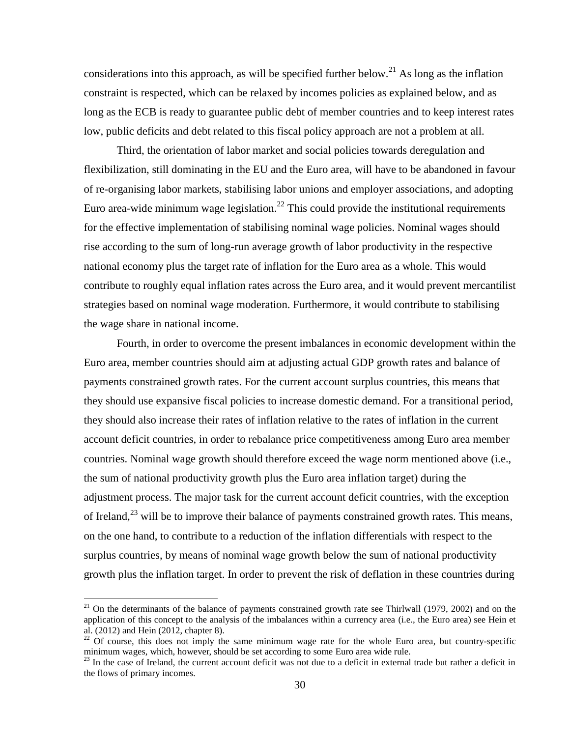considerations into this approach, as will be specified further below.<sup>21</sup> As long as the inflation constraint is respected, which can be relaxed by incomes policies as explained below, and as long as the ECB is ready to guarantee public debt of member countries and to keep interest rates low, public deficits and debt related to this fiscal policy approach are not a problem at all.

Third, the orientation of labor market and social policies towards deregulation and flexibilization, still dominating in the EU and the Euro area, will have to be abandoned in favour of re-organising labor markets, stabilising labor unions and employer associations, and adopting Euro area-wide minimum wage legislation.<sup>22</sup> This could provide the institutional requirements for the effective implementation of stabilising nominal wage policies. Nominal wages should rise according to the sum of long-run average growth of labor productivity in the respective national economy plus the target rate of inflation for the Euro area as a whole. This would contribute to roughly equal inflation rates across the Euro area, and it would prevent mercantilist strategies based on nominal wage moderation. Furthermore, it would contribute to stabilising the wage share in national income.

Fourth, in order to overcome the present imbalances in economic development within the Euro area, member countries should aim at adjusting actual GDP growth rates and balance of payments constrained growth rates. For the current account surplus countries, this means that they should use expansive fiscal policies to increase domestic demand. For a transitional period, they should also increase their rates of inflation relative to the rates of inflation in the current account deficit countries, in order to rebalance price competitiveness among Euro area member countries. Nominal wage growth should therefore exceed the wage norm mentioned above (i.e., the sum of national productivity growth plus the Euro area inflation target) during the adjustment process. The major task for the current account deficit countries, with the exception of Ireland, $^{23}$  will be to improve their balance of payments constrained growth rates. This means, on the one hand, to contribute to a reduction of the inflation differentials with respect to the surplus countries, by means of nominal wage growth below the sum of national productivity growth plus the inflation target. In order to prevent the risk of deflation in these countries during

<sup>&</sup>lt;sup>21</sup> On the determinants of the balance of payments constrained growth rate see Thirlwall (1979, 2002) and on the application of this concept to the analysis of the imbalances within a currency area (i.e., the Euro area) see Hein et al. (2012) and Hein (2012, chapter 8).

 $22$  Of course, this does not imply the same minimum wage rate for the whole Euro area, but country-specific minimum wages, which, however, should be set according to some Euro area wide rule.

<sup>&</sup>lt;sup>23</sup> In the case of Ireland, the current account deficit was not due to a deficit in external trade but rather a deficit in the flows of primary incomes.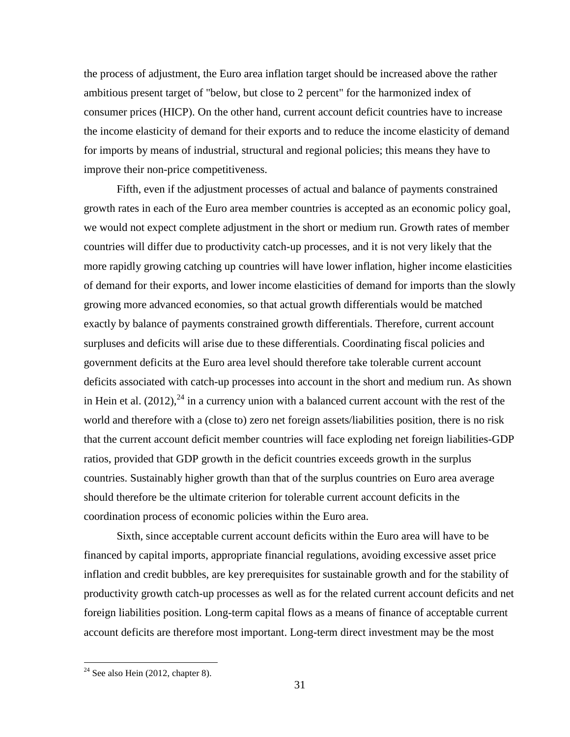the process of adjustment, the Euro area inflation target should be increased above the rather ambitious present target of "below, but close to 2 percent" for the harmonized index of consumer prices (HICP). On the other hand, current account deficit countries have to increase the income elasticity of demand for their exports and to reduce the income elasticity of demand for imports by means of industrial, structural and regional policies; this means they have to improve their non-price competitiveness.

Fifth, even if the adjustment processes of actual and balance of payments constrained growth rates in each of the Euro area member countries is accepted as an economic policy goal, we would not expect complete adjustment in the short or medium run. Growth rates of member countries will differ due to productivity catch-up processes, and it is not very likely that the more rapidly growing catching up countries will have lower inflation, higher income elasticities of demand for their exports, and lower income elasticities of demand for imports than the slowly growing more advanced economies, so that actual growth differentials would be matched exactly by balance of payments constrained growth differentials. Therefore, current account surpluses and deficits will arise due to these differentials. Coordinating fiscal policies and government deficits at the Euro area level should therefore take tolerable current account deficits associated with catch-up processes into account in the short and medium run. As shown in Hein et al.  $(2012)^{24}$  in a currency union with a balanced current account with the rest of the world and therefore with a (close to) zero net foreign assets/liabilities position, there is no risk that the current account deficit member countries will face exploding net foreign liabilities-GDP ratios, provided that GDP growth in the deficit countries exceeds growth in the surplus countries. Sustainably higher growth than that of the surplus countries on Euro area average should therefore be the ultimate criterion for tolerable current account deficits in the coordination process of economic policies within the Euro area.

Sixth, since acceptable current account deficits within the Euro area will have to be financed by capital imports, appropriate financial regulations, avoiding excessive asset price inflation and credit bubbles, are key prerequisites for sustainable growth and for the stability of productivity growth catch-up processes as well as for the related current account deficits and net foreign liabilities position. Long-term capital flows as a means of finance of acceptable current account deficits are therefore most important. Long-term direct investment may be the most

 $2<sup>24</sup>$  See also Hein (2012, chapter 8).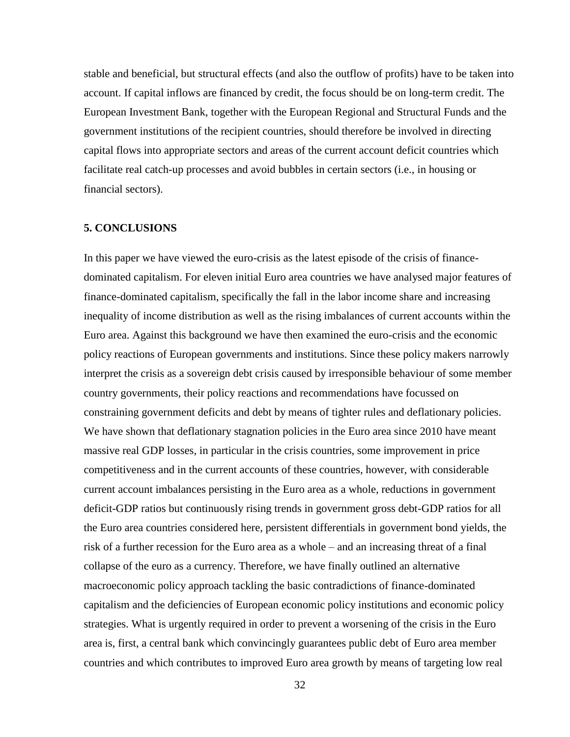stable and beneficial, but structural effects (and also the outflow of profits) have to be taken into account. If capital inflows are financed by credit, the focus should be on long-term credit. The European Investment Bank, together with the European Regional and Structural Funds and the government institutions of the recipient countries, should therefore be involved in directing capital flows into appropriate sectors and areas of the current account deficit countries which facilitate real catch-up processes and avoid bubbles in certain sectors (i.e., in housing or financial sectors).

#### **5. CONCLUSIONS**

In this paper we have viewed the euro-crisis as the latest episode of the crisis of financedominated capitalism. For eleven initial Euro area countries we have analysed major features of finance-dominated capitalism, specifically the fall in the labor income share and increasing inequality of income distribution as well as the rising imbalances of current accounts within the Euro area. Against this background we have then examined the euro-crisis and the economic policy reactions of European governments and institutions. Since these policy makers narrowly interpret the crisis as a sovereign debt crisis caused by irresponsible behaviour of some member country governments, their policy reactions and recommendations have focussed on constraining government deficits and debt by means of tighter rules and deflationary policies. We have shown that deflationary stagnation policies in the Euro area since 2010 have meant massive real GDP losses, in particular in the crisis countries, some improvement in price competitiveness and in the current accounts of these countries, however, with considerable current account imbalances persisting in the Euro area as a whole, reductions in government deficit-GDP ratios but continuously rising trends in government gross debt-GDP ratios for all the Euro area countries considered here, persistent differentials in government bond yields, the risk of a further recession for the Euro area as a whole – and an increasing threat of a final collapse of the euro as a currency. Therefore, we have finally outlined an alternative macroeconomic policy approach tackling the basic contradictions of finance-dominated capitalism and the deficiencies of European economic policy institutions and economic policy strategies. What is urgently required in order to prevent a worsening of the crisis in the Euro area is, first, a central bank which convincingly guarantees public debt of Euro area member countries and which contributes to improved Euro area growth by means of targeting low real

32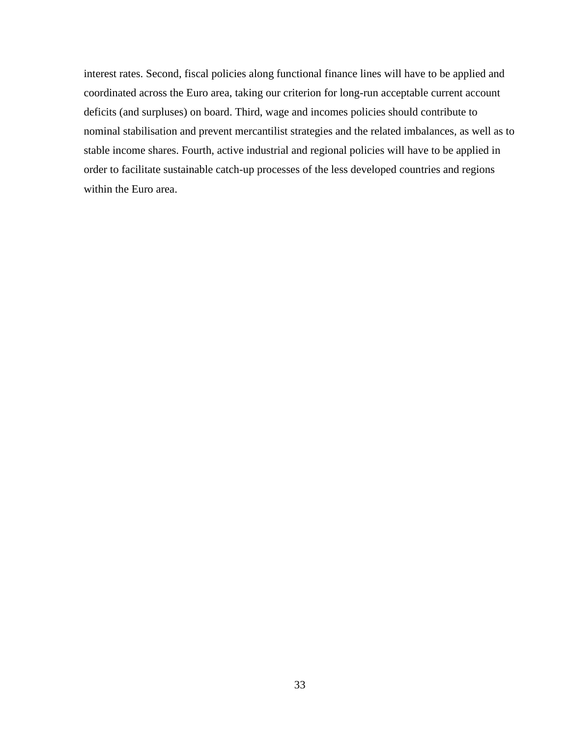interest rates. Second, fiscal policies along functional finance lines will have to be applied and coordinated across the Euro area, taking our criterion for long-run acceptable current account deficits (and surpluses) on board. Third, wage and incomes policies should contribute to nominal stabilisation and prevent mercantilist strategies and the related imbalances, as well as to stable income shares. Fourth, active industrial and regional policies will have to be applied in order to facilitate sustainable catch-up processes of the less developed countries and regions within the Euro area.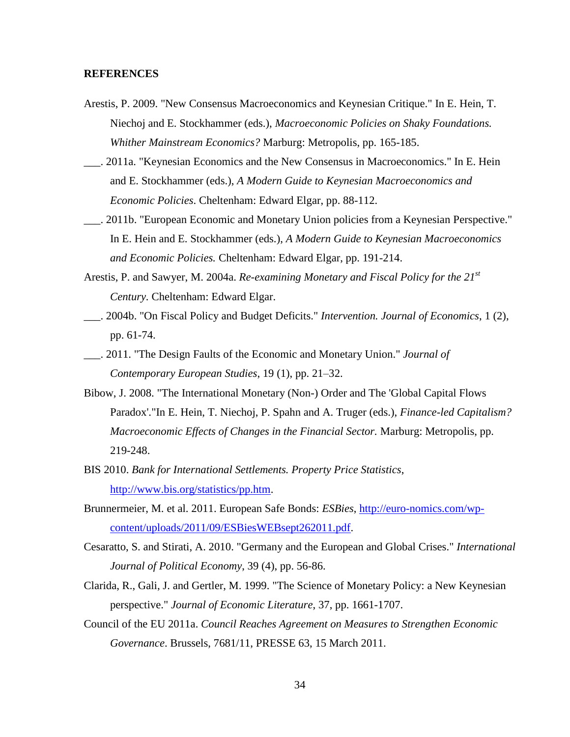#### **REFERENCES**

- Arestis, P. 2009. "New Consensus Macroeconomics and Keynesian Critique." In E. Hein, T. Niechoj and E. Stockhammer (eds.), *Macroeconomic Policies on Shaky Foundations. Whither Mainstream Economics?* Marburg: Metropolis, pp. 165-185.
- \_\_\_. 2011a. "Keynesian Economics and the New Consensus in Macroeconomics." In E. Hein and E. Stockhammer (eds.), *A Modern Guide to Keynesian Macroeconomics and Economic Policies*. Cheltenham: Edward Elgar, pp. 88-112.
- \_\_\_. 2011b. "European Economic and Monetary Union policies from a Keynesian Perspective." In E. Hein and E. Stockhammer (eds.), *A Modern Guide to Keynesian Macroeconomics and Economic Policies.* Cheltenham: Edward Elgar, pp. 191-214.
- Arestis, P. and Sawyer, M. 2004a. *Re-examining Monetary and Fiscal Policy for the 21st Century.* Cheltenham: Edward Elgar.
- \_\_\_. 2004b. "On Fiscal Policy and Budget Deficits." *Intervention. Journal of Economics*, 1 (2), pp. 61-74.
- \_\_\_. 2011. "The Design Faults of the Economic and Monetary Union." *Journal of Contemporary European Studies*, 19 (1), pp. 21–32.
- Bibow, J. 2008. "The International Monetary (Non-) Order and The 'Global Capital Flows Paradox'."In E. Hein, T. Niechoj, P. Spahn and A. Truger (eds.), *Finance-led Capitalism? Macroeconomic Effects of Changes in the Financial Sector.* Marburg: Metropolis, pp. 219-248.
- BIS 2010. *Bank for International Settlements. Property Price Statistics*, [http://www.bis.org/statistics/pp.htm.](http://www.bis.org/statistics/pp.htm)
- Brunnermeier, M. et al. 2011. European Safe Bonds: *ESBies*, [http://euro-nomics.com/wp](http://euro-nomics.com/wp-content/uploads/2011/09/ESBiesWEBsept262011.pdf)[content/uploads/2011/09/ESBiesWEBsept262011.pdf.](http://euro-nomics.com/wp-content/uploads/2011/09/ESBiesWEBsept262011.pdf)
- Cesaratto, S. and Stirati, A. 2010. "Germany and the European and Global Crises." *International Journal of Political Economy*, 39 (4), pp. 56-86.
- Clarida, R., Gali, J. and Gertler, M. 1999. "The Science of Monetary Policy: a New Keynesian perspective." *Journal of Economic Literature*, 37, pp. 1661-1707.
- Council of the EU 2011a. *Council Reaches Agreement on Measures to Strengthen Economic Governance*. Brussels, 7681/11, PRESSE 63, 15 March 2011.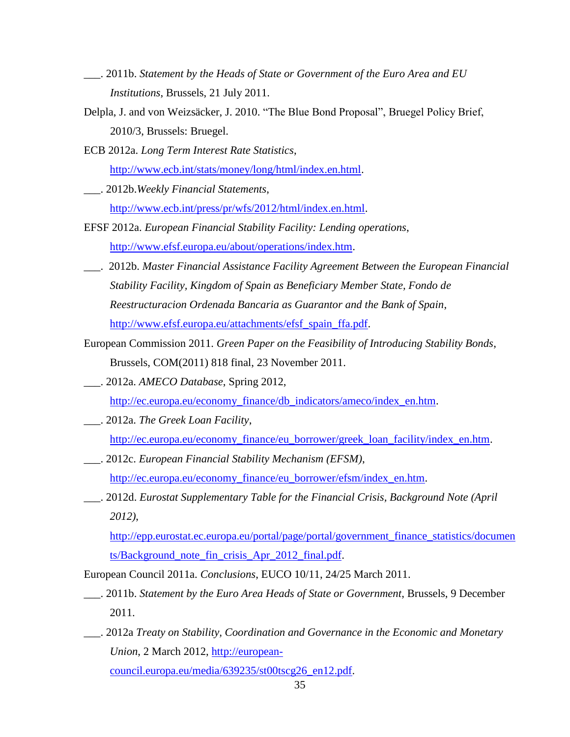- \_\_\_. 2011b. *Statement by the Heads of State or Government of the Euro Area and EU Institutions*, Brussels, 21 July 2011.
- Delpla, J. and von Weizsäcker, J. 2010. "The Blue Bond Proposal", Bruegel Policy Brief, 2010/3, Brussels: Bruegel.
- ECB 2012a. *Long Term Interest Rate Statistics*, [http://www.ecb.int/stats/money/long/html/index.en.html.](http://www.ecb.int/stats/money/long/html/index.en.html)
- \_\_\_. 2012b.*Weekly Financial Statements*, [http://www.ecb.int/press/pr/wfs/2012/html/index.en.html.](http://www.ecb.int/press/pr/wfs/2012/html/index.en.html)
- EFSF 2012a. *European Financial Stability Facility: Lending operations*, [http://www.efsf.europa.eu/about/operations/index.htm.](http://www.efsf.europa.eu/about/operations/index.htm)
- \_\_\_. 2012b. *Master Financial Assistance Facility Agreement Between the European Financial Stability Facility, Kingdom of Spain as Beneficiary Member State, Fondo de Reestructuracion Ordenada Bancaria as Guarantor and the Bank of Spain*, [http://www.efsf.europa.eu/attachments/efsf\\_spain\\_ffa.pdf.](http://www.efsf.europa.eu/attachments/efsf_spain_ffa.pdf)
- European Commission 2011. *Green Paper on the Feasibility of Introducing Stability Bonds*, Brussels, COM(2011) 818 final, 23 November 2011.
- \_\_\_. 2012a. *AMECO Database*, Spring 2012, [http://ec.europa.eu/economy\\_finance/db\\_indicators/ameco/index\\_en.htm.](http://ec.europa.eu/economy_finance/db_indicators/ameco/index_en.htm)
- \_\_\_. 2012a. *The Greek Loan Facility*, [http://ec.europa.eu/economy\\_finance/eu\\_borrower/greek\\_loan\\_facility/index\\_en.htm.](http://ec.europa.eu/economy_finance/eu_borrower/greek_loan_facility/index_en.htm)
- \_\_\_. 2012c. *European Financial Stability Mechanism (EFSM)*, [http://ec.europa.eu/economy\\_finance/eu\\_borrower/efsm/index\\_en.htm.](http://ec.europa.eu/economy_finance/eu_borrower/efsm/index_en.htm)
- \_\_\_. 2012d. *Eurostat Supplementary Table for the Financial Crisis, Background Note (April 2012)*,

[http://epp.eurostat.ec.europa.eu/portal/page/portal/government\\_finance\\_statistics/documen](http://epp.eurostat.ec.europa.eu/portal/page/portal/government_finance_statistics/documents/Background_note_fin_crisis_Apr_2012_final.pdf) [ts/Background\\_note\\_fin\\_crisis\\_Apr\\_2012\\_final.pdf.](http://epp.eurostat.ec.europa.eu/portal/page/portal/government_finance_statistics/documents/Background_note_fin_crisis_Apr_2012_final.pdf)

European Council 2011a. *Conclusions*, EUCO 10/11, 24/25 March 2011.

- \_\_\_. 2011b. *Statement by the Euro Area Heads of State or Government*, Brussels, 9 December 2011.
- \_\_\_. 2012a *Treaty on Stability, Coordination and Governance in the Economic and Monetary Union*, 2 March 2012, [http://european-](http://european-council.europa.eu/media/639235/st00tscg26_en12.pdf)

[council.europa.eu/media/639235/st00tscg26\\_en12.pdf.](http://european-council.europa.eu/media/639235/st00tscg26_en12.pdf)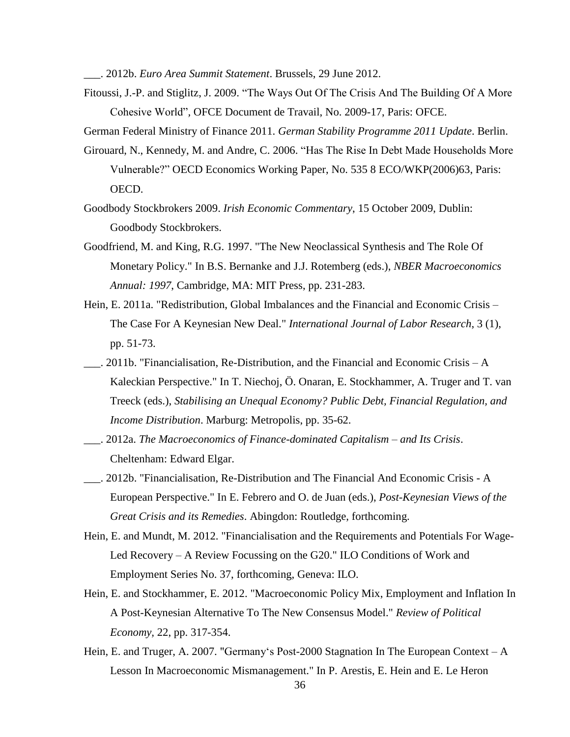\_\_\_. 2012b. *Euro Area Summit Statement*. Brussels, 29 June 2012.

Fitoussi, J.-P. and Stiglitz, J. 2009. "The Ways Out Of The Crisis And The Building Of A More Cohesive World"*,* OFCE Document de Travail, No. 2009-17, Paris: OFCE.

German Federal Ministry of Finance 2011. *German Stability Programme 2011 Update*. Berlin.

- Girouard, N., Kennedy, M. and Andre, C. 2006. "Has The Rise In Debt Made Households More Vulnerable?" OECD Economics Working Paper, No. 535 8 ECO/WKP(2006)63, Paris: OECD.
- Goodbody Stockbrokers 2009. *Irish Economic Commentary*, 15 October 2009, Dublin: Goodbody Stockbrokers.
- Goodfriend, M. and King, R.G. 1997. "The New Neoclassical Synthesis and The Role Of Monetary Policy." In B.S. Bernanke and J.J. Rotemberg (eds.), *NBER Macroeconomics Annual: 1997*, Cambridge, MA: MIT Press, pp. 231-283.
- Hein, E. 2011a. "Redistribution, Global Imbalances and the Financial and Economic Crisis The Case For A Keynesian New Deal." *International Journal of Labor Research*, 3 (1), pp. 51-73.
- $\Box$ . 2011b. "Financialisation, Re-Distribution, and the Financial and Economic Crisis A Kaleckian Perspective." In T. Niechoj, Ö. Onaran, E. Stockhammer, A. Truger and T. van Treeck (eds.), *Stabilising an Unequal Economy? Public Debt, Financial Regulation, and Income Distribution*. Marburg: Metropolis, pp. 35-62.
- \_\_\_. 2012a. *The Macroeconomics of Finance-dominated Capitalism – and Its Crisis*. Cheltenham: Edward Elgar.
- \_\_\_. 2012b. "Financialisation, Re-Distribution and The Financial And Economic Crisis A European Perspective." In E. Febrero and O. de Juan (eds.), *Post-Keynesian Views of the Great Crisis and its Remedies*. Abingdon: Routledge, forthcoming.
- Hein, E. and Mundt, M. 2012. "Financialisation and the Requirements and Potentials For Wage-Led Recovery – A Review Focussing on the G20." ILO Conditions of Work and Employment Series No. 37, forthcoming, Geneva: ILO.
- Hein, E. and Stockhammer, E. 2012. "Macroeconomic Policy Mix, Employment and Inflation In A Post-Keynesian Alternative To The New Consensus Model." *Review of Political Economy,* 22, pp. 317-354.
- Hein, E. and Truger, A. 2007. "Germany's Post-2000 Stagnation In The European Context A Lesson In Macroeconomic Mismanagement." In P. Arestis, E. Hein and E. Le Heron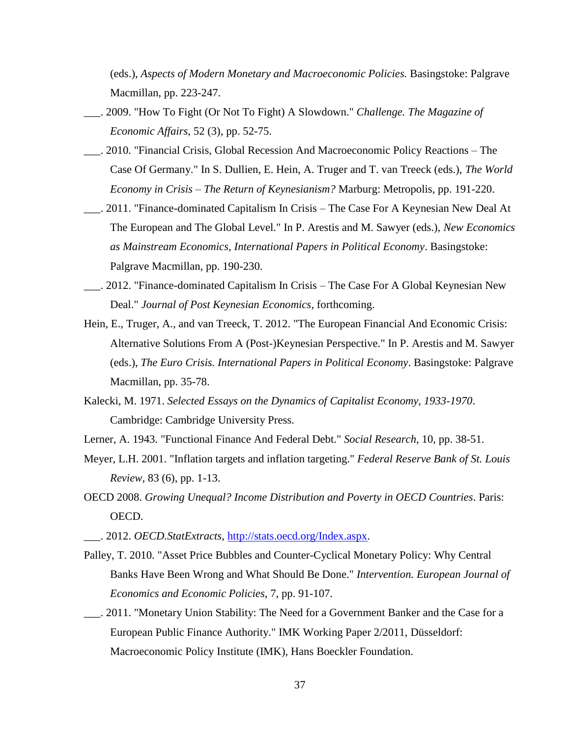(eds.), *Aspects of Modern Monetary and Macroeconomic Policies.* Basingstoke: Palgrave Macmillan, pp. 223-247.

- \_\_\_. 2009. "How To Fight (Or Not To Fight) A Slowdown." *Challenge. The Magazine of Economic Affairs,* 52 (3), pp. 52-75.
- \_\_\_. 2010. "Financial Crisis, Global Recession And Macroeconomic Policy Reactions The Case Of Germany." In S. Dullien, E. Hein, A. Truger and T. van Treeck (eds.), *The World Economy in Crisis – The Return of Keynesianism?* Marburg: Metropolis, pp. 191-220.
- \_\_\_. 2011. "Finance-dominated Capitalism In Crisis The Case For A Keynesian New Deal At The European and The Global Level." In P. Arestis and M. Sawyer (eds.), *New Economics as Mainstream Economics, International Papers in Political Economy*. Basingstoke: Palgrave Macmillan, pp. 190-230.
- \_\_\_. 2012. "Finance-dominated Capitalism In Crisis The Case For A Global Keynesian New Deal." *Journal of Post Keynesian Economics*, forthcoming.
- Hein, E., Truger, A., and van Treeck, T. 2012. "The European Financial And Economic Crisis: Alternative Solutions From A (Post-)Keynesian Perspective." In P. Arestis and M. Sawyer (eds.), *The Euro Crisis. International Papers in Political Economy*. Basingstoke: Palgrave Macmillan, pp. 35-78.
- Kalecki, M. 1971. *Selected Essays on the Dynamics of Capitalist Economy, 1933-1970*. Cambridge: Cambridge University Press.
- Lerner, A. 1943. "Functional Finance And Federal Debt." *Social Research*, 10, pp. 38-51.
- Meyer, L.H. 2001. "Inflation targets and inflation targeting." *Federal Reserve Bank of St. Louis Review,* 83 (6), pp. 1-13.
- OECD 2008. *Growing Unequal? Income Distribution and Poverty in OECD Countries*. Paris: OECD.
- \_\_\_. 2012. *OECD.StatExtracts*, [http://stats.oecd.org/Index.aspx.](http://stats.oecd.org/Index.aspx-)
- Palley, T. 2010. "Asset Price Bubbles and Counter-Cyclical Monetary Policy: Why Central Banks Have Been Wrong and What Should Be Done." *Intervention. European Journal of Economics and Economic Policies*, 7, pp. 91-107.
- \_\_\_. 2011. "Monetary Union Stability: The Need for a Government Banker and the Case for a European Public Finance Authority." IMK Working Paper 2/2011, Düsseldorf: Macroeconomic Policy Institute (IMK), Hans Boeckler Foundation.